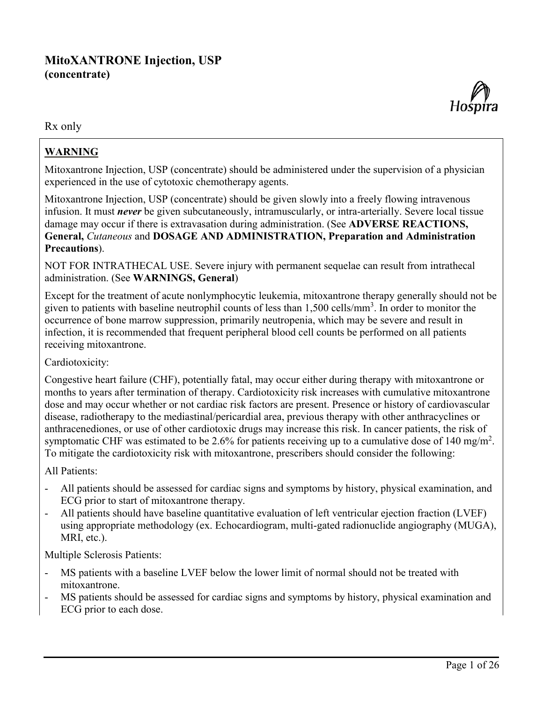# **MitoXANTRONE Injection, USP (concentrate)**



Rx only

# **WARNING**

Mitoxantrone Injection, USP (concentrate) should be administered under the supervision of a physician experienced in the use of cytotoxic chemotherapy agents.

Mitoxantrone Injection, USP (concentrate) should be given slowly into a freely flowing intravenous infusion. It must *never* be given subcutaneously, intramuscularly, or intra-arterially. Severe local tissue damage may occur if there is extravasation during administration. (See **ADVERSE REACTIONS, General,** *Cutaneous* and **DOSAGE AND ADMINISTRATION, Preparation and Administration Precautions**).

NOT FOR INTRATHECAL USE. Severe injury with permanent sequelae can result from intrathecal administration. (See **WARNINGS, General**)

Except for the treatment of acute nonlymphocytic leukemia, mitoxantrone therapy generally should not be given to patients with baseline neutrophil counts of less than  $1,500$  cells/mm<sup>3</sup>. In order to monitor the occurrence of bone marrow suppression, primarily neutropenia, which may be severe and result in infection, it is recommended that frequent peripheral blood cell counts be performed on all patients receiving mitoxantrone.

Cardiotoxicity:

Congestive heart failure (CHF), potentially fatal, may occur either during therapy with mitoxantrone or months to years after termination of therapy. Cardiotoxicity risk increases with cumulative mitoxantrone dose and may occur whether or not cardiac risk factors are present. Presence or history of cardiovascular disease, radiotherapy to the mediastinal/pericardial area, previous therapy with other anthracyclines or anthracenediones, or use of other cardiotoxic drugs may increase this risk. In cancer patients, the risk of symptomatic CHF was estimated to be 2.6% for patients receiving up to a cumulative dose of 140 mg/m<sup>2</sup>. To mitigate the cardiotoxicity risk with mitoxantrone, prescribers should consider the following:

All Patients:

- All patients should be assessed for cardiac signs and symptoms by history, physical examination, and ECG prior to start of mitoxantrone therapy.
- All patients should have baseline quantitative evaluation of left ventricular ejection fraction (LVEF) using appropriate methodology (ex. Echocardiogram, multi-gated radionuclide angiography (MUGA), MRI, etc.).

Multiple Sclerosis Patients:

- MS patients with a baseline LVEF below the lower limit of normal should not be treated with mitoxantrone.
- MS patients should be assessed for cardiac signs and symptoms by history, physical examination and ECG prior to each dose.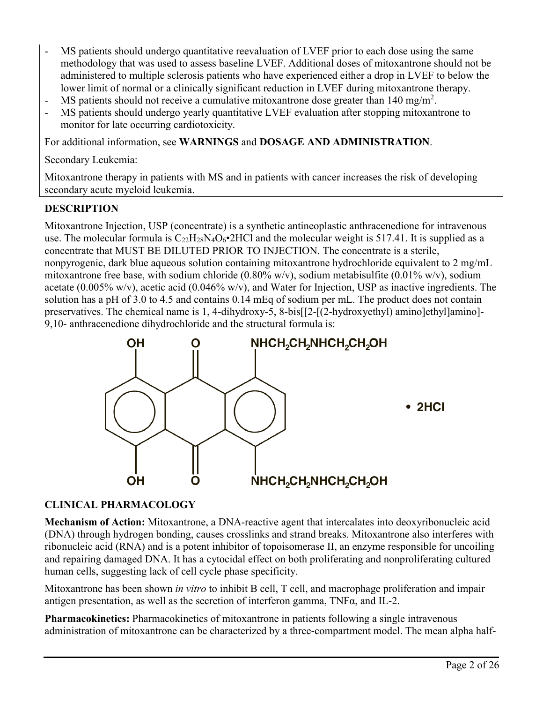- MS patients should undergo quantitative reevaluation of LVEF prior to each dose using the same methodology that was used to assess baseline LVEF. Additional doses of mitoxantrone should not be administered to multiple sclerosis patients who have experienced either a drop in LVEF to below the lower limit of normal or a clinically significant reduction in LVEF during mitoxantrone therapy.
- MS patients should not receive a cumulative mitoxantrone dose greater than  $140 \text{ mg/m}^2$ .
- MS patients should undergo yearly quantitative LVEF evaluation after stopping mitoxantrone to monitor for late occurring cardiotoxicity.

For additional information, see **WARNINGS** and **DOSAGE AND ADMINISTRATION**.

Secondary Leukemia:

Mitoxantrone therapy in patients with MS and in patients with cancer increases the risk of developing secondary acute myeloid leukemia.

## **DESCRIPTION**

Mitoxantrone Injection, USP (concentrate) is a synthetic antineoplastic anthracenedione for intravenous use. The molecular formula is  $C_{22}H_{28}N_4O_6\cdot 2HCl$  and the molecular weight is 517.41. It is supplied as a concentrate that MUST BE DILUTED PRIOR TO INJECTION. The concentrate is a sterile, nonpyrogenic, dark blue aqueous solution containing mitoxantrone hydrochloride equivalent to 2 mg/mL mitoxantrone free base, with sodium chloride (0.80% w/v), sodium metabisulfite (0.01% w/v), sodium acetate  $(0.005\% \text{ w/v})$ , acetic acid  $(0.046\% \text{ w/v})$ , and Water for Injection, USP as inactive ingredients. The solution has a pH of 3.0 to 4.5 and contains 0.14 mEq of sodium per mL. The product does not contain preservatives. The chemical name is 1, 4-dihydroxy-5, 8-bis[[2-[(2-hydroxyethyl) amino]ethyl]amino]- 9,10- anthracenedione dihydrochloride and the structural formula is:



## **CLINICAL PHARMACOLOGY**

**Mechanism of Action:** Mitoxantrone, a DNA-reactive agent that intercalates into deoxyribonucleic acid (DNA) through hydrogen bonding, causes crosslinks and strand breaks. Mitoxantrone also interferes with ribonucleic acid (RNA) and is a potent inhibitor of topoisomerase II, an enzyme responsible for uncoiling and repairing damaged DNA. It has a cytocidal effect on both proliferating and nonproliferating cultured human cells, suggesting lack of cell cycle phase specificity.

Mitoxantrone has been shown *in vitro* to inhibit B cell, T cell, and macrophage proliferation and impair antigen presentation, as well as the secretion of interferon gamma, TNFα, and IL-2.

**Pharmacokinetics:** Pharmacokinetics of mitoxantrone in patients following a single intravenous administration of mitoxantrone can be characterized by a three-compartment model. The mean alpha half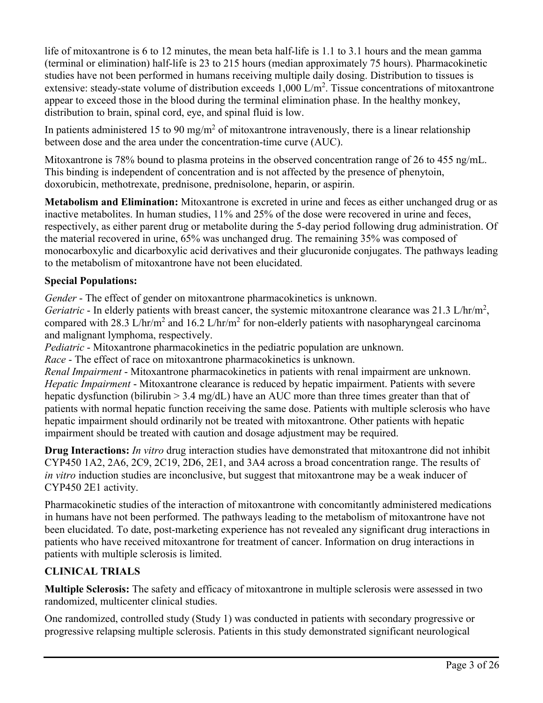life of mitoxantrone is 6 to 12 minutes, the mean beta half-life is 1.1 to 3.1 hours and the mean gamma (terminal or elimination) half-life is 23 to 215 hours (median approximately 75 hours). Pharmacokinetic studies have not been performed in humans receiving multiple daily dosing. Distribution to tissues is extensive: steady-state volume of distribution exceeds  $1,000 \text{ L/m}^2$ . Tissue concentrations of mitoxantrone appear to exceed those in the blood during the terminal elimination phase. In the healthy monkey, distribution to brain, spinal cord, eye, and spinal fluid is low.

In patients administered 15 to 90 mg/m<sup>2</sup> of mitoxantrone intravenously, there is a linear relationship between dose and the area under the concentration-time curve (AUC).

Mitoxantrone is 78% bound to plasma proteins in the observed concentration range of 26 to 455 ng/mL. This binding is independent of concentration and is not affected by the presence of phenytoin, doxorubicin, methotrexate, prednisone, prednisolone, heparin, or aspirin.

**Metabolism and Elimination:** Mitoxantrone is excreted in urine and feces as either unchanged drug or as inactive metabolites. In human studies, 11% and 25% of the dose were recovered in urine and feces, respectively, as either parent drug or metabolite during the 5-day period following drug administration. Of the material recovered in urine, 65% was unchanged drug. The remaining 35% was composed of monocarboxylic and dicarboxylic acid derivatives and their glucuronide conjugates. The pathways leading to the metabolism of mitoxantrone have not been elucidated.

## **Special Populations:**

*Gender* - The effect of gender on mitoxantrone pharmacokinetics is unknown.

Geriatric - In elderly patients with breast cancer, the systemic mitoxantrone clearance was 21.3 L/hr/m<sup>2</sup>, compared with 28.3 L/hr/m<sup>2</sup> and 16.2 L/hr/m<sup>2</sup> for non-elderly patients with nasopharyngeal carcinoma and malignant lymphoma, respectively.

*Pediatric* - Mitoxantrone pharmacokinetics in the pediatric population are unknown.

*Race* - The effect of race on mitoxantrone pharmacokinetics is unknown.

*Renal Impairment* - Mitoxantrone pharmacokinetics in patients with renal impairment are unknown. *Hepatic Impairment* - Mitoxantrone clearance is reduced by hepatic impairment. Patients with severe hepatic dysfunction (bilirubin > 3.4 mg/dL) have an AUC more than three times greater than that of patients with normal hepatic function receiving the same dose. Patients with multiple sclerosis who have hepatic impairment should ordinarily not be treated with mitoxantrone. Other patients with hepatic impairment should be treated with caution and dosage adjustment may be required.

**Drug Interactions:** *In vitro* drug interaction studies have demonstrated that mitoxantrone did not inhibit CYP450 1A2, 2A6, 2C9, 2C19, 2D6, 2E1, and 3A4 across a broad concentration range. The results of *in vitro* induction studies are inconclusive, but suggest that mitoxantrone may be a weak inducer of CYP450 2E1 activity.

Pharmacokinetic studies of the interaction of mitoxantrone with concomitantly administered medications in humans have not been performed. The pathways leading to the metabolism of mitoxantrone have not been elucidated. To date, post-marketing experience has not revealed any significant drug interactions in patients who have received mitoxantrone for treatment of cancer. Information on drug interactions in patients with multiple sclerosis is limited.

# **CLINICAL TRIALS**

**Multiple Sclerosis:** The safety and efficacy of mitoxantrone in multiple sclerosis were assessed in two randomized, multicenter clinical studies.

One randomized, controlled study (Study 1) was conducted in patients with secondary progressive or progressive relapsing multiple sclerosis. Patients in this study demonstrated significant neurological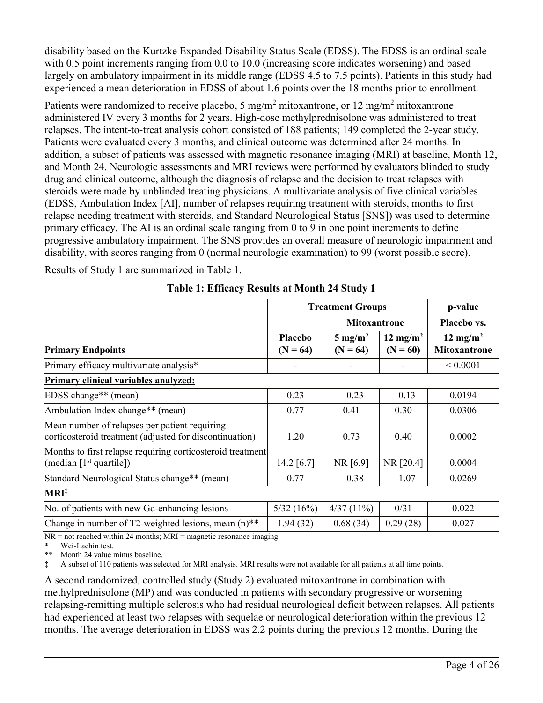disability based on the Kurtzke Expanded Disability Status Scale (EDSS). The EDSS is an ordinal scale with 0.5 point increments ranging from 0.0 to 10.0 (increasing score indicates worsening) and based largely on ambulatory impairment in its middle range (EDSS 4.5 to 7.5 points). Patients in this study had experienced a mean deterioration in EDSS of about 1.6 points over the 18 months prior to enrollment.

Patients were randomized to receive placebo, 5 mg/m<sup>2</sup> mitoxantrone, or 12 mg/m<sup>2</sup> mitoxantrone administered IV every 3 months for 2 years. High-dose methylprednisolone was administered to treat relapses. The intent-to-treat analysis cohort consisted of 188 patients; 149 completed the 2-year study. Patients were evaluated every 3 months, and clinical outcome was determined after 24 months. In addition, a subset of patients was assessed with magnetic resonance imaging (MRI) at baseline, Month 12, and Month 24. Neurologic assessments and MRI reviews were performed by evaluators blinded to study drug and clinical outcome, although the diagnosis of relapse and the decision to treat relapses with steroids were made by unblinded treating physicians. A multivariate analysis of five clinical variables (EDSS, Ambulation Index [AI], number of relapses requiring treatment with steroids, months to first relapse needing treatment with steroids, and Standard Neurological Status [SNS]) was used to determine primary efficacy. The AI is an ordinal scale ranging from 0 to 9 in one point increments to define progressive ambulatory impairment. The SNS provides an overall measure of neurologic impairment and disability, with scores ranging from 0 (normal neurologic examination) to 99 (worst possible score).

Results of Study 1 are summarized in Table 1.

|                                                                                                          |                       | <b>Treatment Groups</b>          |                                    |                                             |
|----------------------------------------------------------------------------------------------------------|-----------------------|----------------------------------|------------------------------------|---------------------------------------------|
|                                                                                                          |                       | <b>Mitoxantrone</b>              |                                    | Placebo vs.                                 |
| <b>Primary Endpoints</b>                                                                                 | Placebo<br>$(N = 64)$ | $5 \text{ mg/m}^2$<br>$(N = 64)$ | 12 mg/m <sup>2</sup><br>$(N = 60)$ | 12 mg/m <sup>2</sup><br><b>Mitoxantrone</b> |
| Primary efficacy multivariate analysis*                                                                  |                       |                                  |                                    | ${}< 0.0001$                                |
| Primary clinical variables analyzed:                                                                     |                       |                                  |                                    |                                             |
| EDSS change** (mean)                                                                                     | 0.23                  | $-0.23$                          | $-0.13$                            | 0.0194                                      |
| Ambulation Index change** (mean)                                                                         | 0.77                  | 0.41                             | 0.30                               | 0.0306                                      |
| Mean number of relapses per patient requiring<br>corticosteroid treatment (adjusted for discontinuation) | 1.20                  | 0.73                             | 0.40                               | 0.0002                                      |
| Months to first relapse requiring corticosteroid treatment<br>(median $[1st$ quartile])                  | 14.2 $[6.7]$          | NR [6.9]                         | NR [20.4]                          | 0.0004                                      |
| Standard Neurological Status change** (mean)                                                             | 0.77                  | $-0.38$                          | $-1.07$                            | 0.0269                                      |
| $MRI^{\ddagger}$                                                                                         |                       |                                  |                                    |                                             |
| No. of patients with new Gd-enhancing lesions                                                            | 5/32(16%)             | 4/37(11%)                        | 0/31                               | 0.022                                       |
| Change in number of T2-weighted lesions, mean $(n)$ <sup>**</sup>                                        | 1.94(32)              | 0.68(34)                         | 0.29(28)                           | 0.027                                       |

**Table 1: Efficacy Results at Month 24 Study 1**

 $NR = not reached within 24 months; MRI = magnetic resonance imaging.$ 

\* Wei-Lachin test.<br>\*\* Month 24 value

Month 24 value minus baseline.

‡ A subset of 110 patients was selected for MRI analysis. MRI results were not available for all patients at all time points.

A second randomized, controlled study (Study 2) evaluated mitoxantrone in combination with methylprednisolone (MP) and was conducted in patients with secondary progressive or worsening relapsing-remitting multiple sclerosis who had residual neurological deficit between relapses. All patients had experienced at least two relapses with sequelae or neurological deterioration within the previous 12 months. The average deterioration in EDSS was 2.2 points during the previous 12 months. During the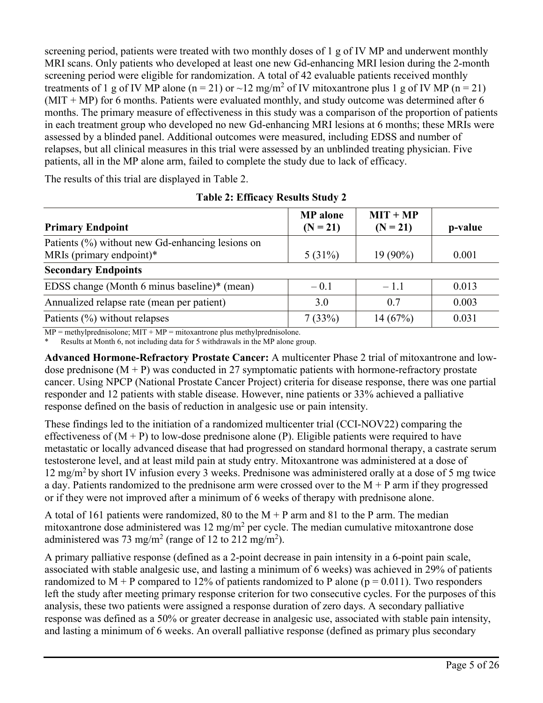screening period, patients were treated with two monthly doses of 1 g of IV MP and underwent monthly MRI scans. Only patients who developed at least one new Gd-enhancing MRI lesion during the 2-month screening period were eligible for randomization. A total of 42 evaluable patients received monthly treatments of 1 g of IV MP alone (n = 21) or  $\sim$ 12 mg/m<sup>2</sup> of IV mitoxantrone plus 1 g of IV MP (n = 21)  $(MIT + MP)$  for 6 months. Patients were evaluated monthly, and study outcome was determined after 6 months. The primary measure of effectiveness in this study was a comparison of the proportion of patients in each treatment group who developed no new Gd-enhancing MRI lesions at 6 months; these MRIs were assessed by a blinded panel. Additional outcomes were measured, including EDSS and number of relapses, but all clinical measures in this trial were assessed by an unblinded treating physician. Five patients, all in the MP alone arm, failed to complete the study due to lack of efficacy.

The results of this trial are displayed in Table 2.

| <b>Primary Endpoint</b>                                                      | <b>MP</b> alone<br>$(N = 21)$ | $MIT + MP$<br>$(N = 21)$ | p-value |
|------------------------------------------------------------------------------|-------------------------------|--------------------------|---------|
| Patients (%) without new Gd-enhancing lesions on<br>MRIs (primary endpoint)* | $5(31\%)$                     | $19(90\%)$               | 0.001   |
| <b>Secondary Endpoints</b>                                                   |                               |                          |         |
| EDSS change (Month 6 minus baseline)* (mean)                                 | $-0.1$                        | $-1.1$                   | 0.013   |
| Annualized relapse rate (mean per patient)                                   | 3.0                           | 0.7                      | 0.003   |
| Patients $(\%)$ without relapses                                             | 7(33%)                        | 14(67%)                  | 0.031   |

**Table 2: Efficacy Results Study 2**

 $MP = methylprednisolone; MIT + MP = mitoxantrone plus methylprednisolone.$ 

Results at Month 6, not including data for 5 withdrawals in the MP alone group.

**Advanced Hormone-Refractory Prostate Cancer:** A multicenter Phase 2 trial of mitoxantrone and lowdose prednisone  $(M + P)$  was conducted in 27 symptomatic patients with hormone-refractory prostate cancer. Using NPCP (National Prostate Cancer Project) criteria for disease response, there was one partial responder and 12 patients with stable disease. However, nine patients or 33% achieved a palliative response defined on the basis of reduction in analgesic use or pain intensity.

These findings led to the initiation of a randomized multicenter trial (CCI-NOV22) comparing the effectiveness of  $(M + P)$  to low-dose prednisone alone  $(P)$ . Eligible patients were required to have metastatic or locally advanced disease that had progressed on standard hormonal therapy, a castrate serum testosterone level, and at least mild pain at study entry. Mitoxantrone was administered at a dose of 12 mg/m<sup>2</sup>by short IV infusion every 3 weeks. Prednisone was administered orally at a dose of 5 mg twice a day. Patients randomized to the prednisone arm were crossed over to the  $M + P$  arm if they progressed or if they were not improved after a minimum of 6 weeks of therapy with prednisone alone.

A total of 161 patients were randomized, 80 to the  $M + P$  arm and 81 to the P arm. The median mitoxantrone dose administered was  $12 \text{ mg/m}^2$  per cycle. The median cumulative mitoxantrone dose administered was 73 mg/m<sup>2</sup> (range of 12 to 212 mg/m<sup>2</sup>).

A primary palliative response (defined as a 2-point decrease in pain intensity in a 6-point pain scale, associated with stable analgesic use, and lasting a minimum of 6 weeks) was achieved in 29% of patients randomized to  $M + P$  compared to 12% of patients randomized to P alone ( $p = 0.011$ ). Two responders left the study after meeting primary response criterion for two consecutive cycles. For the purposes of this analysis, these two patients were assigned a response duration of zero days. A secondary palliative response was defined as a 50% or greater decrease in analgesic use, associated with stable pain intensity, and lasting a minimum of 6 weeks. An overall palliative response (defined as primary plus secondary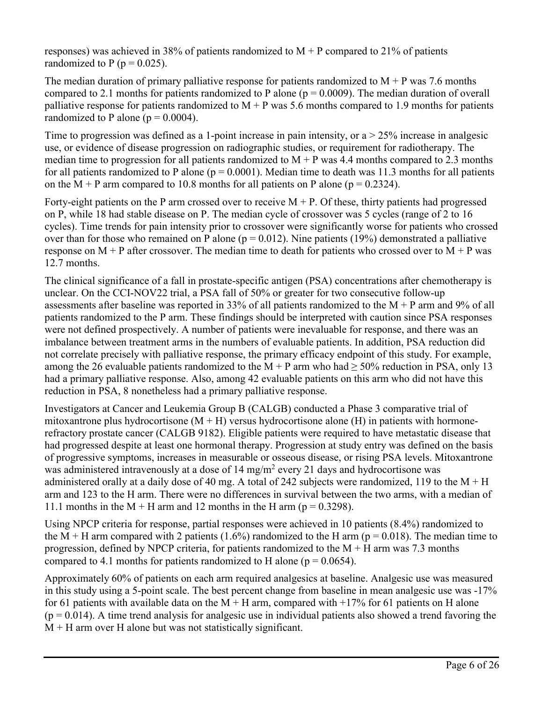responses) was achieved in 38% of patients randomized to  $M + P$  compared to 21% of patients randomized to P ( $p = 0.025$ ).

The median duration of primary palliative response for patients randomized to  $M + P$  was 7.6 months compared to 2.1 months for patients randomized to P alone ( $p = 0.0009$ ). The median duration of overall palliative response for patients randomized to  $M + P$  was 5.6 months compared to 1.9 months for patients randomized to P alone ( $p = 0.0004$ ).

Time to progression was defined as a 1-point increase in pain intensity, or  $a > 25\%$  increase in analgesic use, or evidence of disease progression on radiographic studies, or requirement for radiotherapy. The median time to progression for all patients randomized to  $M + P$  was 4.4 months compared to 2.3 months for all patients randomized to P alone ( $p = 0.0001$ ). Median time to death was 11.3 months for all patients on the M + P arm compared to 10.8 months for all patients on P alone ( $p = 0.2324$ ).

Forty-eight patients on the P arm crossed over to receive  $M + P$ . Of these, thirty patients had progressed on P, while 18 had stable disease on P. The median cycle of crossover was 5 cycles (range of 2 to 16 cycles). Time trends for pain intensity prior to crossover were significantly worse for patients who crossed over than for those who remained on P alone ( $p = 0.012$ ). Nine patients (19%) demonstrated a palliative response on  $M + P$  after crossover. The median time to death for patients who crossed over to  $M + P$  was 12.7 months.

The clinical significance of a fall in prostate-specific antigen (PSA) concentrations after chemotherapy is unclear. On the CCI-NOV22 trial, a PSA fall of 50% or greater for two consecutive follow-up assessments after baseline was reported in 33% of all patients randomized to the M + P arm and 9% of all patients randomized to the P arm. These findings should be interpreted with caution since PSA responses were not defined prospectively. A number of patients were inevaluable for response, and there was an imbalance between treatment arms in the numbers of evaluable patients. In addition, PSA reduction did not correlate precisely with palliative response, the primary efficacy endpoint of this study. For example, among the 26 evaluable patients randomized to the  $M + P$  arm who had  $\geq$  50% reduction in PSA, only 13 had a primary palliative response. Also, among 42 evaluable patients on this arm who did not have this reduction in PSA, 8 nonetheless had a primary palliative response.

Investigators at Cancer and Leukemia Group B (CALGB) conducted a Phase 3 comparative trial of mitoxantrone plus hydrocortisone ( $M + H$ ) versus hydrocortisone alone (H) in patients with hormonerefractory prostate cancer (CALGB 9182). Eligible patients were required to have metastatic disease that had progressed despite at least one hormonal therapy. Progression at study entry was defined on the basis of progressive symptoms, increases in measurable or osseous disease, or rising PSA levels. Mitoxantrone was administered intravenously at a dose of 14 mg/m<sup>2</sup> every 21 days and hydrocortisone was administered orally at a daily dose of 40 mg. A total of 242 subjects were randomized, 119 to the  $M + H$ arm and 123 to the H arm. There were no differences in survival between the two arms, with a median of 11.1 months in the M + H arm and 12 months in the H arm ( $p = 0.3298$ ).

Using NPCP criteria for response, partial responses were achieved in 10 patients (8.4%) randomized to the M + H arm compared with 2 patients (1.6%) randomized to the H arm ( $p = 0.018$ ). The median time to progression, defined by NPCP criteria, for patients randomized to the  $M + H$  arm was 7.3 months compared to 4.1 months for patients randomized to H alone ( $p = 0.0654$ ).

Approximately 60% of patients on each arm required analgesics at baseline. Analgesic use was measured in this study using a 5-point scale. The best percent change from baseline in mean analgesic use was -17% for 61 patients with available data on the  $M + H$  arm, compared with  $+17\%$  for 61 patients on H alone  $(p = 0.014)$ . A time trend analysis for analgesic use in individual patients also showed a trend favoring the  $M + H$  arm over H alone but was not statistically significant.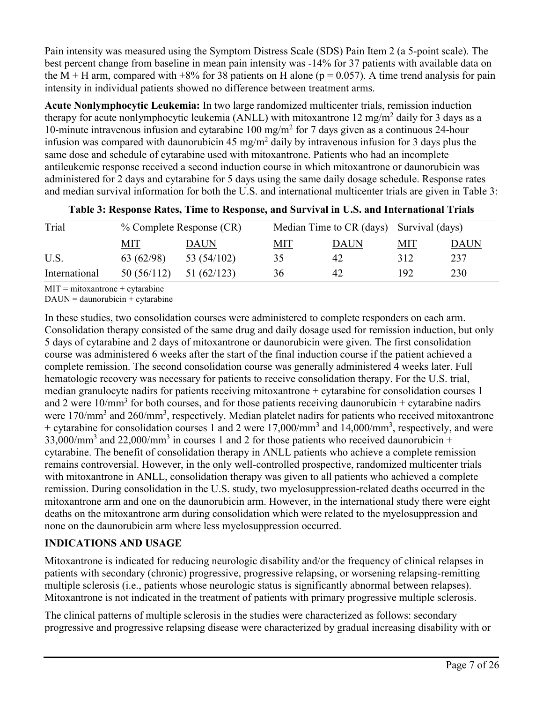Pain intensity was measured using the Symptom Distress Scale (SDS) Pain Item 2 (a 5-point scale). The best percent change from baseline in mean pain intensity was -14% for 37 patients with available data on the M + H arm, compared with  $+8\%$  for 38 patients on H alone ( $p = 0.057$ ). A time trend analysis for pain intensity in individual patients showed no difference between treatment arms.

**Acute Nonlymphocytic Leukemia:** In two large randomized multicenter trials, remission induction therapy for acute nonlymphocytic leukemia (ANLL) with mitoxantrone 12 mg/m<sup>2</sup> daily for 3 days as a 10-minute intravenous infusion and cytarabine 100 mg/m<sup>2</sup> for 7 days given as a continuous 24-hour infusion was compared with daunorubicin 45 mg/m<sup>2</sup> daily by intravenous infusion for 3 days plus the same dose and schedule of cytarabine used with mitoxantrone. Patients who had an incomplete antileukemic response received a second induction course in which mitoxantrone or daunorubicin was administered for 2 days and cytarabine for 5 days using the same daily dosage schedule. Response rates and median survival information for both the U.S. and international multicenter trials are given in Table 3:

| Trial         | % Complete Response (CR) |             |            | Median Time to CR (days) Survival (days) |            |             |  |
|---------------|--------------------------|-------------|------------|------------------------------------------|------------|-------------|--|
|               | <u>MIT</u>               | DAUN        | <u>MIT</u> | <b>DAUN</b>                              | <u>MIT</u> | <b>DAUN</b> |  |
| U.S.          | 63 (62/98)               | 53 (54/102) | 35         | 42                                       | 312        | 237         |  |
| International | 50(56/112)               | 51 (62/123) | 36         | 42                                       | 192        | 230         |  |

|  |  |  | Table 3: Response Rates, Time to Response, and Survival in U.S. and International Trials |  |
|--|--|--|------------------------------------------------------------------------------------------|--|
|  |  |  |                                                                                          |  |

 $MIT = mitoxantrone + cytarabine$ 

 $DAUN =$  daunorubicin + cytarabine

In these studies, two consolidation courses were administered to complete responders on each arm. Consolidation therapy consisted of the same drug and daily dosage used for remission induction, but only 5 days of cytarabine and 2 days of mitoxantrone or daunorubicin were given. The first consolidation course was administered 6 weeks after the start of the final induction course if the patient achieved a complete remission. The second consolidation course was generally administered 4 weeks later. Full hematologic recovery was necessary for patients to receive consolidation therapy. For the U.S. trial, median granulocyte nadirs for patients receiving mitoxantrone + cytarabine for consolidation courses 1 and 2 were  $10/\text{mm}^3$  for both courses, and for those patients receiving daunorubicin + cytarabine nadirs were 170/mm<sup>3</sup> and 260/mm<sup>3</sup>, respectively. Median platelet nadirs for patients who received mitoxantrone + cytarabine for consolidation courses 1 and 2 were  $17,000/\text{mm}^3$  and  $14,000/\text{mm}^3$ , respectively, and were 33,000/mm<sup>3</sup> and 22,000/mm<sup>3</sup> in courses 1 and 2 for those patients who received daunorubicin + cytarabine. The benefit of consolidation therapy in ANLL patients who achieve a complete remission remains controversial. However, in the only well-controlled prospective, randomized multicenter trials with mitoxantrone in ANLL, consolidation therapy was given to all patients who achieved a complete remission. During consolidation in the U.S. study, two myelosuppression-related deaths occurred in the mitoxantrone arm and one on the daunorubicin arm. However, in the international study there were eight deaths on the mitoxantrone arm during consolidation which were related to the myelosuppression and none on the daunorubicin arm where less myelosuppression occurred.

## **INDICATIONS AND USAGE**

Mitoxantrone is indicated for reducing neurologic disability and/or the frequency of clinical relapses in patients with secondary (chronic) progressive, progressive relapsing, or worsening relapsing-remitting multiple sclerosis (i.e., patients whose neurologic status is significantly abnormal between relapses). Mitoxantrone is not indicated in the treatment of patients with primary progressive multiple sclerosis.

The clinical patterns of multiple sclerosis in the studies were characterized as follows: secondary progressive and progressive relapsing disease were characterized by gradual increasing disability with or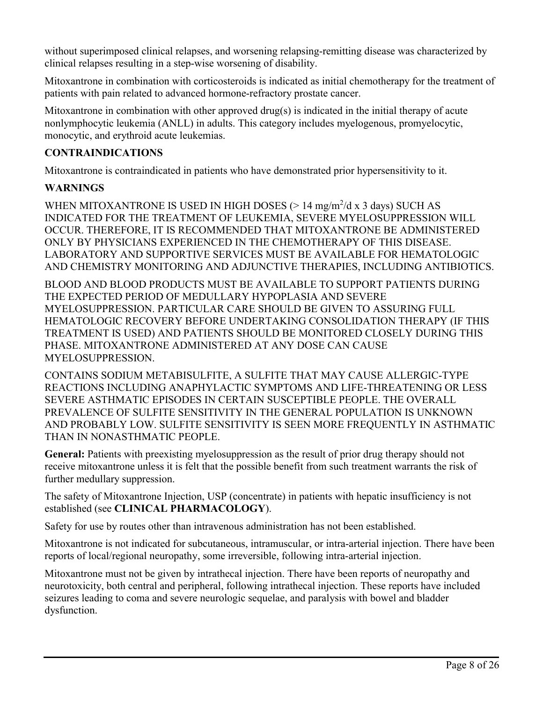without superimposed clinical relapses, and worsening relapsing-remitting disease was characterized by clinical relapses resulting in a step-wise worsening of disability.

Mitoxantrone in combination with corticosteroids is indicated as initial chemotherapy for the treatment of patients with pain related to advanced hormone-refractory prostate cancer.

Mitoxantrone in combination with other approved drug(s) is indicated in the initial therapy of acute nonlymphocytic leukemia (ANLL) in adults. This category includes myelogenous, promyelocytic, monocytic, and erythroid acute leukemias.

### **CONTRAINDICATIONS**

Mitoxantrone is contraindicated in patients who have demonstrated prior hypersensitivity to it.

### **WARNINGS**

WHEN MITOXANTRONE IS USED IN HIGH DOSES ( $> 14$  mg/m<sup>2</sup>/d x 3 days) SUCH AS INDICATED FOR THE TREATMENT OF LEUKEMIA, SEVERE MYELOSUPPRESSION WILL OCCUR. THEREFORE, IT IS RECOMMENDED THAT MITOXANTRONE BE ADMINISTERED ONLY BY PHYSICIANS EXPERIENCED IN THE CHEMOTHERAPY OF THIS DISEASE. LABORATORY AND SUPPORTIVE SERVICES MUST BE AVAILABLE FOR HEMATOLOGIC AND CHEMISTRY MONITORING AND ADJUNCTIVE THERAPIES, INCLUDING ANTIBIOTICS.

BLOOD AND BLOOD PRODUCTS MUST BE AVAILABLE TO SUPPORT PATIENTS DURING THE EXPECTED PERIOD OF MEDULLARY HYPOPLASIA AND SEVERE MYELOSUPPRESSION. PARTICULAR CARE SHOULD BE GIVEN TO ASSURING FULL HEMATOLOGIC RECOVERY BEFORE UNDERTAKING CONSOLIDATION THERAPY (IF THIS TREATMENT IS USED) AND PATIENTS SHOULD BE MONITORED CLOSELY DURING THIS PHASE. MITOXANTRONE ADMINISTERED AT ANY DOSE CAN CAUSE MYELOSUPPRESSION.

CONTAINS SODIUM METABISULFITE, A SULFITE THAT MAY CAUSE ALLERGIC-TYPE REACTIONS INCLUDING ANAPHYLACTIC SYMPTOMS AND LIFE-THREATENING OR LESS SEVERE ASTHMATIC EPISODES IN CERTAIN SUSCEPTIBLE PEOPLE. THE OVERALL PREVALENCE OF SULFITE SENSITIVITY IN THE GENERAL POPULATION IS UNKNOWN AND PROBABLY LOW. SULFITE SENSITIVITY IS SEEN MORE FREQUENTLY IN ASTHMATIC THAN IN NONASTHMATIC PEOPLE.

**General:** Patients with preexisting myelosuppression as the result of prior drug therapy should not receive mitoxantrone unless it is felt that the possible benefit from such treatment warrants the risk of further medullary suppression.

The safety of Mitoxantrone Injection, USP (concentrate) in patients with hepatic insufficiency is not established (see **CLINICAL PHARMACOLOGY**).

Safety for use by routes other than intravenous administration has not been established.

Mitoxantrone is not indicated for subcutaneous, intramuscular, or intra-arterial injection. There have been reports of local/regional neuropathy, some irreversible, following intra-arterial injection.

Mitoxantrone must not be given by intrathecal injection. There have been reports of neuropathy and neurotoxicity, both central and peripheral, following intrathecal injection. These reports have included seizures leading to coma and severe neurologic sequelae, and paralysis with bowel and bladder dysfunction.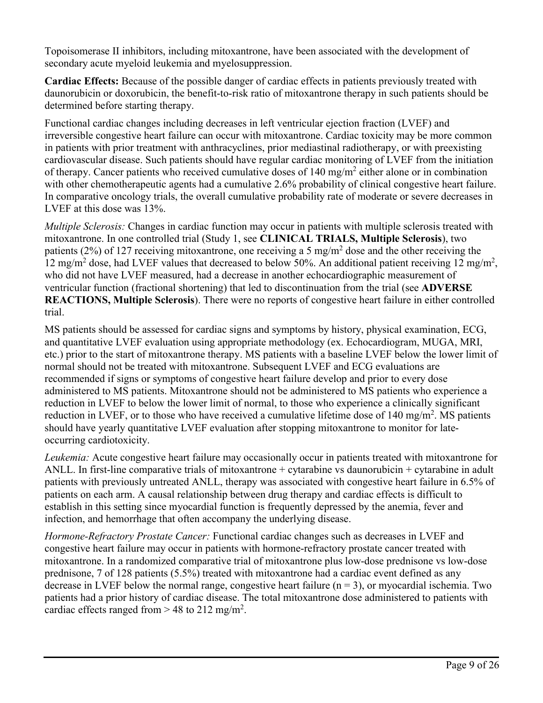Topoisomerase II inhibitors, including mitoxantrone, have been associated with the development of secondary acute myeloid leukemia and myelosuppression.

**Cardiac Effects:** Because of the possible danger of cardiac effects in patients previously treated with daunorubicin or doxorubicin, the benefit-to-risk ratio of mitoxantrone therapy in such patients should be determined before starting therapy.

Functional cardiac changes including decreases in left ventricular ejection fraction (LVEF) and irreversible congestive heart failure can occur with mitoxantrone. Cardiac toxicity may be more common in patients with prior treatment with anthracyclines, prior mediastinal radiotherapy, or with preexisting cardiovascular disease. Such patients should have regular cardiac monitoring of LVEF from the initiation of therapy. Cancer patients who received cumulative doses of 140 mg/m<sup>2</sup> either alone or in combination with other chemotherapeutic agents had a cumulative 2.6% probability of clinical congestive heart failure. In comparative oncology trials, the overall cumulative probability rate of moderate or severe decreases in LVEF at this dose was 13%.

*Multiple Sclerosis:* Changes in cardiac function may occur in patients with multiple sclerosis treated with mitoxantrone. In one controlled trial (Study 1, see **CLINICAL TRIALS, Multiple Sclerosis**), two patients (2%) of 127 receiving mitoxantrone, one receiving a 5 mg/m<sup>2</sup> dose and the other receiving the 12 mg/m<sup>2</sup> dose, had LVEF values that decreased to below 50%. An additional patient receiving 12 mg/m<sup>2</sup>, who did not have LVEF measured, had a decrease in another echocardiographic measurement of ventricular function (fractional shortening) that led to discontinuation from the trial (see **ADVERSE REACTIONS, Multiple Sclerosis**). There were no reports of congestive heart failure in either controlled trial.

MS patients should be assessed for cardiac signs and symptoms by history, physical examination, ECG, and quantitative LVEF evaluation using appropriate methodology (ex. Echocardiogram, MUGA, MRI, etc.) prior to the start of mitoxantrone therapy. MS patients with a baseline LVEF below the lower limit of normal should not be treated with mitoxantrone. Subsequent LVEF and ECG evaluations are recommended if signs or symptoms of congestive heart failure develop and prior to every dose administered to MS patients. Mitoxantrone should not be administered to MS patients who experience a reduction in LVEF to below the lower limit of normal, to those who experience a clinically significant reduction in LVEF, or to those who have received a cumulative lifetime dose of 140 mg/m<sup>2</sup>. MS patients should have yearly quantitative LVEF evaluation after stopping mitoxantrone to monitor for lateoccurring cardiotoxicity.

*Leukemia:* Acute congestive heart failure may occasionally occur in patients treated with mitoxantrone for ANLL. In first-line comparative trials of mitoxantrone  $+$  cytarabine vs daunorubicin  $+$  cytarabine in adult patients with previously untreated ANLL, therapy was associated with congestive heart failure in 6.5% of patients on each arm. A causal relationship between drug therapy and cardiac effects is difficult to establish in this setting since myocardial function is frequently depressed by the anemia, fever and infection, and hemorrhage that often accompany the underlying disease.

*Hormone-Refractory Prostate Cancer:* Functional cardiac changes such as decreases in LVEF and congestive heart failure may occur in patients with hormone-refractory prostate cancer treated with mitoxantrone. In a randomized comparative trial of mitoxantrone plus low-dose prednisone vs low-dose prednisone, 7 of 128 patients (5.5%) treated with mitoxantrone had a cardiac event defined as any decrease in LVEF below the normal range, congestive heart failure  $(n = 3)$ , or myocardial ischemia. Two patients had a prior history of cardiac disease. The total mitoxantrone dose administered to patients with cardiac effects ranged from  $> 48$  to 212 mg/m<sup>2</sup>.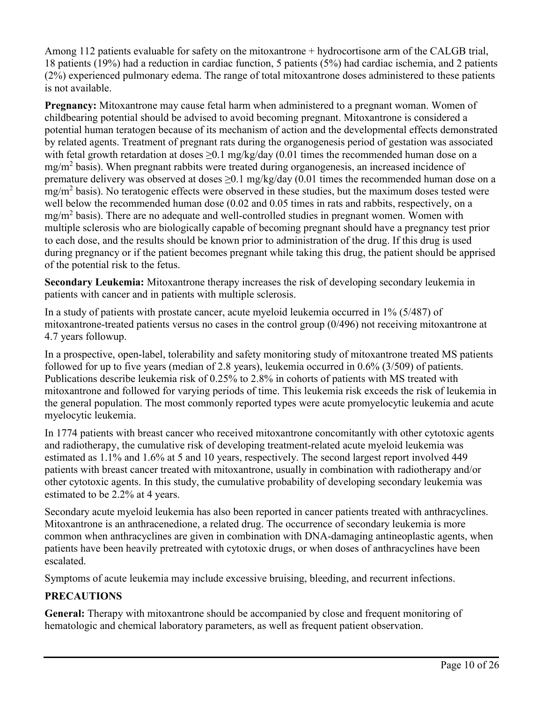Among 112 patients evaluable for safety on the mitoxantrone + hydrocortisone arm of the CALGB trial, 18 patients (19%) had a reduction in cardiac function, 5 patients (5%) had cardiac ischemia, and 2 patients (2%) experienced pulmonary edema. The range of total mitoxantrone doses administered to these patients is not available.

**Pregnancy:** Mitoxantrone may cause fetal harm when administered to a pregnant woman. Women of childbearing potential should be advised to avoid becoming pregnant. Mitoxantrone is considered a potential human teratogen because of its mechanism of action and the developmental effects demonstrated by related agents. Treatment of pregnant rats during the organogenesis period of gestation was associated with fetal growth retardation at doses > 0.1 mg/kg/day (0.01 times the recommended human dose on a mg/m<sup>2</sup> basis). When pregnant rabbits were treated during organogenesis, an increased incidence of premature delivery was observed at doses  $\geq 0.1$  mg/kg/day (0.01 times the recommended human dose on a mg/m<sup>2</sup> basis). No teratogenic effects were observed in these studies, but the maximum doses tested were well below the recommended human dose (0.02 and 0.05 times in rats and rabbits, respectively, on a  $mg/m<sup>2</sup>$  basis). There are no adequate and well-controlled studies in pregnant women. Women with multiple sclerosis who are biologically capable of becoming pregnant should have a pregnancy test prior to each dose, and the results should be known prior to administration of the drug. If this drug is used during pregnancy or if the patient becomes pregnant while taking this drug, the patient should be apprised of the potential risk to the fetus.

**Secondary Leukemia:** Mitoxantrone therapy increases the risk of developing secondary leukemia in patients with cancer and in patients with multiple sclerosis.

In a study of patients with prostate cancer, acute myeloid leukemia occurred in 1% (5/487) of mitoxantrone-treated patients versus no cases in the control group (0/496) not receiving mitoxantrone at 4.7 years followup.

In a prospective, open-label, tolerability and safety monitoring study of mitoxantrone treated MS patients followed for up to five years (median of 2.8 years), leukemia occurred in 0.6% (3/509) of patients. Publications describe leukemia risk of 0.25% to 2.8% in cohorts of patients with MS treated with mitoxantrone and followed for varying periods of time. This leukemia risk exceeds the risk of leukemia in the general population. The most commonly reported types were acute promyelocytic leukemia and acute myelocytic leukemia.

In 1774 patients with breast cancer who received mitoxantrone concomitantly with other cytotoxic agents and radiotherapy, the cumulative risk of developing treatment-related acute myeloid leukemia was estimated as 1.1% and 1.6% at 5 and 10 years, respectively. The second largest report involved 449 patients with breast cancer treated with mitoxantrone, usually in combination with radiotherapy and/or other cytotoxic agents. In this study, the cumulative probability of developing secondary leukemia was estimated to be 2.2% at 4 years.

Secondary acute myeloid leukemia has also been reported in cancer patients treated with anthracyclines. Mitoxantrone is an anthracenedione, a related drug. The occurrence of secondary leukemia is more common when anthracyclines are given in combination with DNA-damaging antineoplastic agents, when patients have been heavily pretreated with cytotoxic drugs, or when doses of anthracyclines have been escalated.

Symptoms of acute leukemia may include excessive bruising, bleeding, and recurrent infections.

# **PRECAUTIONS**

**General:** Therapy with mitoxantrone should be accompanied by close and frequent monitoring of hematologic and chemical laboratory parameters, as well as frequent patient observation.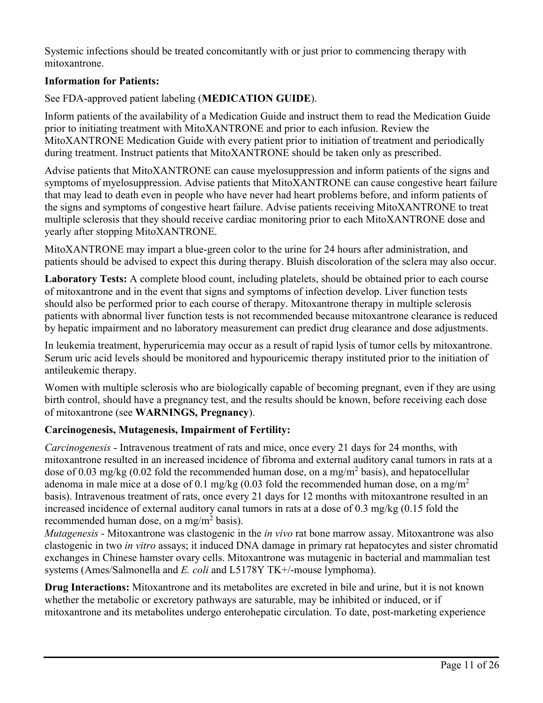Systemic infections should be treated concomitantly with or just prior to commencing therapy with mitoxantrone.

### **Information for Patients:**

### See FDA-approved patient labeling (**MEDICATION GUIDE**).

Inform patients of the availability of a Medication Guide and instruct them to read the Medication Guide prior to initiating treatment with MitoXANTRONE and prior to each infusion. Review the MitoXANTRONE Medication Guide with every patient prior to initiation of treatment and periodically during treatment. Instruct patients that MitoXANTRONE should be taken only as prescribed.

Advise patients that MitoXANTRONE can cause myelosuppression and inform patients of the signs and symptoms of myelosuppression. Advise patients that MitoXANTRONE can cause congestive heart failure that may lead to death even in people who have never had heart problems before, and inform patients of the signs and symptoms of congestive heart failure. Advise patients receiving MitoXANTRONE to treat multiple sclerosis that they should receive cardiac monitoring prior to each MitoXANTRONE dose and yearly after stopping MitoXANTRONE.

MitoXANTRONE may impart a blue-green color to the urine for 24 hours after administration, and patients should be advised to expect this during therapy. Bluish discoloration of the sclera may also occur.

**Laboratory Tests:** A complete blood count, including platelets, should be obtained prior to each course of mitoxantrone and in the event that signs and symptoms of infection develop. Liver function tests should also be performed prior to each course of therapy. Mitoxantrone therapy in multiple sclerosis patients with abnormal liver function tests is not recommended because mitoxantrone clearance is reduced by hepatic impairment and no laboratory measurement can predict drug clearance and dose adjustments.

In leukemia treatment, hyperuricemia may occur as a result of rapid lysis of tumor cells by mitoxantrone. Serum uric acid levels should be monitored and hypouricemic therapy instituted prior to the initiation of antileukemic therapy.

Women with multiple sclerosis who are biologically capable of becoming pregnant, even if they are using birth control, should have a pregnancy test, and the results should be known, before receiving each dose of mitoxantrone (see **WARNINGS, Pregnancy**).

## **Carcinogenesis, Mutagenesis, Impairment of Fertility:**

*Carcinogenesis* - Intravenous treatment of rats and mice, once every 21 days for 24 months, with mitoxantrone resulted in an increased incidence of fibroma and external auditory canal tumors in rats at a dose of 0.03 mg/kg (0.02 fold the recommended human dose, on a mg/m<sup>2</sup> basis), and hepatocellular adenoma in male mice at a dose of 0.1 mg/kg (0.03 fold the recommended human dose, on a mg/m<sup>2</sup> basis). Intravenous treatment of rats, once every 21 days for 12 months with mitoxantrone resulted in an increased incidence of external auditory canal tumors in rats at a dose of 0.3 mg/kg (0.15 fold the recommended human dose, on a mg/m<sup>2</sup> basis).

*Mutagenesis* - Mitoxantrone was clastogenic in the *in vivo* rat bone marrow assay. Mitoxantrone was also clastogenic in two *in vitro* assays; it induced DNA damage in primary rat hepatocytes and sister chromatid exchanges in Chinese hamster ovary cells. Mitoxantrone was mutagenic in bacterial and mammalian test systems (Ames/Salmonella and *E. coli* and L5178Y TK+/-mouse lymphoma).

**Drug Interactions:** Mitoxantrone and its metabolites are excreted in bile and urine, but it is not known whether the metabolic or excretory pathways are saturable, may be inhibited or induced, or if mitoxantrone and its metabolites undergo enterohepatic circulation. To date, post-marketing experience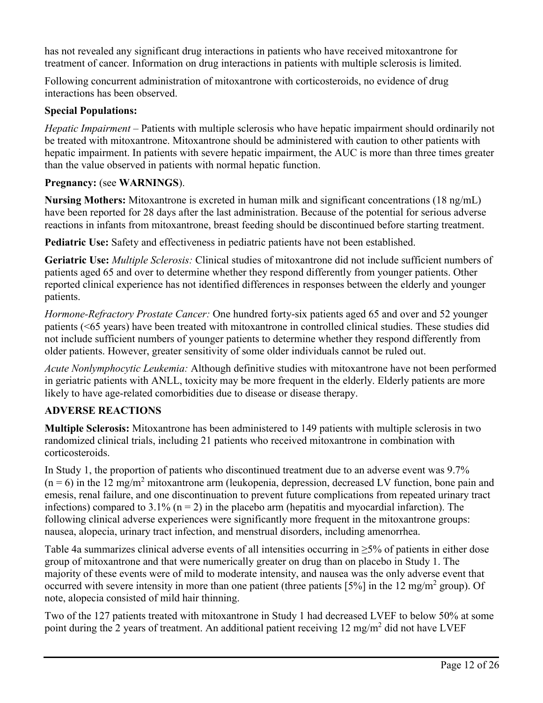has not revealed any significant drug interactions in patients who have received mitoxantrone for treatment of cancer. Information on drug interactions in patients with multiple sclerosis is limited.

Following concurrent administration of mitoxantrone with corticosteroids, no evidence of drug interactions has been observed.

## **Special Populations:**

*Hepatic Impairment* – Patients with multiple sclerosis who have hepatic impairment should ordinarily not be treated with mitoxantrone. Mitoxantrone should be administered with caution to other patients with hepatic impairment. In patients with severe hepatic impairment, the AUC is more than three times greater than the value observed in patients with normal hepatic function.

## **Pregnancy:** (see **WARNINGS**).

**Nursing Mothers:** Mitoxantrone is excreted in human milk and significant concentrations (18 ng/mL) have been reported for 28 days after the last administration. Because of the potential for serious adverse reactions in infants from mitoxantrone, breast feeding should be discontinued before starting treatment.

**Pediatric Use:** Safety and effectiveness in pediatric patients have not been established.

**Geriatric Use:** *Multiple Sclerosis:* Clinical studies of mitoxantrone did not include sufficient numbers of patients aged 65 and over to determine whether they respond differently from younger patients. Other reported clinical experience has not identified differences in responses between the elderly and younger patients.

*Hormone-Refractory Prostate Cancer:* One hundred forty-six patients aged 65 and over and 52 younger patients (<65 years) have been treated with mitoxantrone in controlled clinical studies. These studies did not include sufficient numbers of younger patients to determine whether they respond differently from older patients. However, greater sensitivity of some older individuals cannot be ruled out.

*Acute Nonlymphocytic Leukemia:* Although definitive studies with mitoxantrone have not been performed in geriatric patients with ANLL, toxicity may be more frequent in the elderly. Elderly patients are more likely to have age-related comorbidities due to disease or disease therapy.

# **ADVERSE REACTIONS**

**Multiple Sclerosis:** Mitoxantrone has been administered to 149 patients with multiple sclerosis in two randomized clinical trials, including 21 patients who received mitoxantrone in combination with corticosteroids.

In Study 1, the proportion of patients who discontinued treatment due to an adverse event was 9.7%  $(n = 6)$  in the 12 mg/m<sup>2</sup> mitoxantrone arm (leukopenia, depression, decreased LV function, bone pain and emesis, renal failure, and one discontinuation to prevent future complications from repeated urinary tract infections) compared to 3.1% ( $n = 2$ ) in the placebo arm (hepatitis and myocardial infarction). The following clinical adverse experiences were significantly more frequent in the mitoxantrone groups: nausea, alopecia, urinary tract infection, and menstrual disorders, including amenorrhea.

Table 4a summarizes clinical adverse events of all intensities occurring in ≥5% of patients in either dose group of mitoxantrone and that were numerically greater on drug than on placebo in Study 1. The majority of these events were of mild to moderate intensity, and nausea was the only adverse event that occurred with severe intensity in more than one patient (three patients [5%] in the 12 mg/m<sup>2</sup> group). Of note, alopecia consisted of mild hair thinning.

Two of the 127 patients treated with mitoxantrone in Study 1 had decreased LVEF to below 50% at some point during the 2 years of treatment. An additional patient receiving 12 mg/m<sup>2</sup> did not have LVEF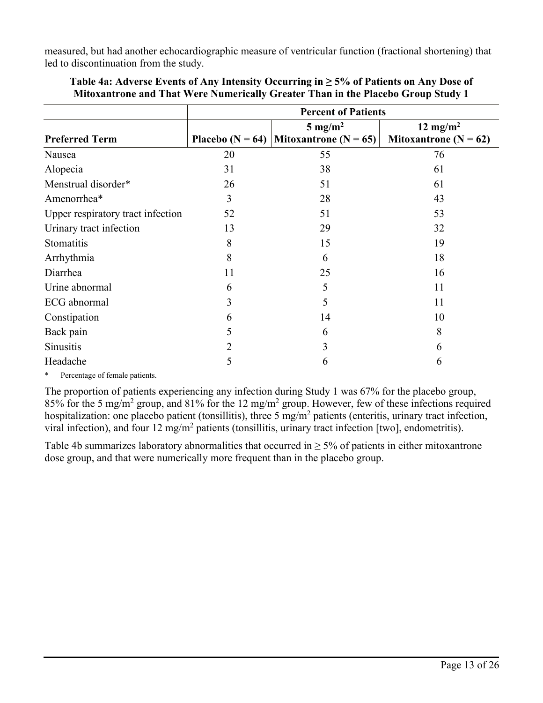measured, but had another echocardiographic measure of ventricular function (fractional shortening) that led to discontinuation from the study.

|                                   | <b>Percent of Patients</b> |                                          |                           |  |  |
|-----------------------------------|----------------------------|------------------------------------------|---------------------------|--|--|
|                                   |                            | $5 \text{ mg/m}^2$                       | 12 mg/m <sup>2</sup>      |  |  |
| <b>Preferred Term</b>             |                            | Placebo (N = 64)   Mitoxantrone (N = 65) | Mitoxantrone ( $N = 62$ ) |  |  |
| Nausea                            | 20                         | 55                                       | 76                        |  |  |
| Alopecia                          | 31                         | 38                                       | 61                        |  |  |
| Menstrual disorder*               | 26                         | 51                                       | 61                        |  |  |
| Amenorrhea*                       | 3                          | 28                                       | 43                        |  |  |
| Upper respiratory tract infection | 52                         | 51                                       | 53                        |  |  |
| Urinary tract infection           | 13                         | 29                                       | 32                        |  |  |
| Stomatitis                        | 8                          | 15                                       | 19                        |  |  |
| Arrhythmia                        | 8                          | 6                                        | 18                        |  |  |
| Diarrhea                          | 11                         | 25                                       | 16                        |  |  |
| Urine abnormal                    | 6                          | 5                                        | 11                        |  |  |
| ECG abnormal                      | 3                          | 5                                        | 11                        |  |  |
| Constipation                      | 6                          | 14                                       | 10                        |  |  |
| Back pain                         | 5                          | 6                                        | 8                         |  |  |
| Sinusitis                         | 2                          | 3                                        | 6                         |  |  |
| Headache                          | 5                          | 6                                        | 6                         |  |  |

**Table 4a: Adverse Events of Any Intensity Occurring in ≥ 5% of Patients on Any Dose of Mitoxantrone and That Were Numerically Greater Than in the Placebo Group Study 1**

\* Percentage of female patients.

The proportion of patients experiencing any infection during Study 1 was 67% for the placebo group, 85% for the 5 mg/m<sup>2</sup> group, and 81% for the 12 mg/m<sup>2</sup> group. However, few of these infections required hospitalization: one placebo patient (tonsillitis), three 5 mg/m<sup>2</sup> patients (enteritis, urinary tract infection, viral infection), and four 12 mg/m<sup>2</sup> patients (tonsillitis, urinary tract infection [two], endometritis).

Table 4b summarizes laboratory abnormalities that occurred in  $\geq$  5% of patients in either mitoxantrone dose group, and that were numerically more frequent than in the placebo group.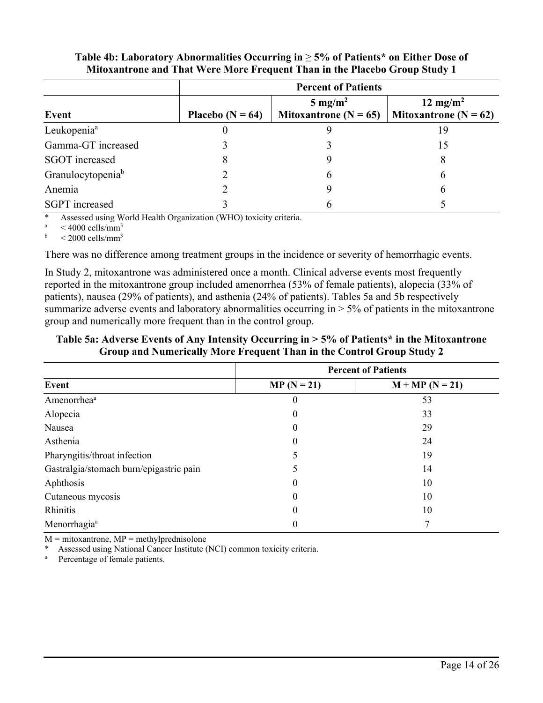|                               |                      | <b>Percent of Patients</b>                      |                                                   |  |  |  |
|-------------------------------|----------------------|-------------------------------------------------|---------------------------------------------------|--|--|--|
| Event                         | Placebo ( $N = 64$ ) | $5 \text{ mg/m}^2$<br>Mitoxantrone ( $N = 65$ ) | 12 mg/m <sup>2</sup><br>Mitoxantrone ( $N = 62$ ) |  |  |  |
| Leukopenia <sup>a</sup>       |                      |                                                 | 19                                                |  |  |  |
| Gamma-GT increased            |                      |                                                 | 15                                                |  |  |  |
| <b>SGOT</b> increased         |                      |                                                 | 8                                                 |  |  |  |
| Granulocytopenia <sup>b</sup> |                      | <sub>(</sub>                                    | 6                                                 |  |  |  |
| Anemia                        |                      |                                                 | 6                                                 |  |  |  |
| <b>SGPT</b> increased         |                      |                                                 |                                                   |  |  |  |

### **Table 4b: Laboratory Abnormalities Occurring in** ≥ **5% of Patients\* on Either Dose of Mitoxantrone and That Were More Frequent Than in the Placebo Group Study 1**

\* Assessed using World Health Organization (WHO) toxicity criteria.

<sup>a</sup>  $<$  4000 cells/mm<sup>3</sup><br>b  $<$  2000 cells/mm<sup>3</sup>

 $\rm < 2000$  cells/mm<sup>3</sup>

There was no difference among treatment groups in the incidence or severity of hemorrhagic events.

In Study 2, mitoxantrone was administered once a month. Clinical adverse events most frequently reported in the mitoxantrone group included amenorrhea (53% of female patients), alopecia (33% of patients), nausea (29% of patients), and asthenia (24% of patients). Tables 5a and 5b respectively summarize adverse events and laboratory abnormalities occurring in  $> 5\%$  of patients in the mitoxantrone group and numerically more frequent than in the control group.

**Table 5a: Adverse Events of Any Intensity Occurring in > 5% of Patients\* in the Mitoxantrone Group and Numerically More Frequent Than in the Control Group Study 2**

|                                         | <b>Percent of Patients</b> |                   |  |  |
|-----------------------------------------|----------------------------|-------------------|--|--|
| Event                                   | $MP (N = 21)$              | $M + MP (N = 21)$ |  |  |
| Amenorrhea <sup>a</sup>                 | $\theta$                   | 53                |  |  |
| Alopecia                                | $\theta$                   | 33                |  |  |
| Nausea                                  | $\theta$                   | 29                |  |  |
| Asthenia                                | $\theta$                   | 24                |  |  |
| Pharyngitis/throat infection            |                            | 19                |  |  |
| Gastralgia/stomach burn/epigastric pain |                            | 14                |  |  |
| Aphthosis                               | $\theta$                   | 10                |  |  |
| Cutaneous mycosis                       | $\Omega$                   | 10                |  |  |
| Rhinitis                                | $\theta$                   | 10                |  |  |
| Menorrhagia <sup>a</sup>                | 0                          |                   |  |  |

 $M = mitoxantrone, MP = methvlprednisolone$ 

Assessed using National Cancer Institute (NCI) common toxicity criteria.

a Percentage of female patients.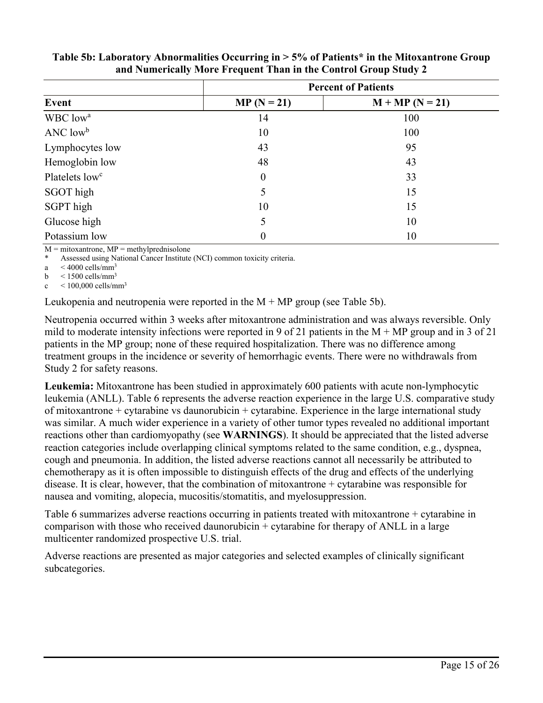|                             | <b>Percent of Patients</b> |                   |  |  |
|-----------------------------|----------------------------|-------------------|--|--|
| Event                       | $MP (N = 21)$              | $M + MP (N = 21)$ |  |  |
| WBC low <sup>a</sup>        | 14                         | 100               |  |  |
| $\rm{ANC}$ low <sup>b</sup> | 10                         | 100               |  |  |
| Lymphocytes low             | 43                         | 95                |  |  |
| Hemoglobin low              | 48                         | 43                |  |  |
| Platelets low <sup>c</sup>  | $\boldsymbol{0}$           | 33                |  |  |
| SGOT high                   | 5                          | 15                |  |  |
| SGPT high                   | 10                         | 15                |  |  |
| Glucose high                | 5                          | 10                |  |  |
| Potassium low               | 0                          | 10                |  |  |

### **Table 5b: Laboratory Abnormalities Occurring in > 5% of Patients\* in the Mitoxantrone Group and Numerically More Frequent Than in the Control Group Study 2**

 $M = mitoxantrone, MP = methylprednisolone$ 

Assessed using National Cancer Institute (NCI) common toxicity criteria.

a  $\leq 4000$  cells/mm<sup>3</sup>

b  $<$  1500 cells/mm<sup>3</sup>

 $c \approx 100,000$  cells/mm<sup>3</sup>

Leukopenia and neutropenia were reported in the  $M + MP$  group (see Table 5b).

Neutropenia occurred within 3 weeks after mitoxantrone administration and was always reversible. Only mild to moderate intensity infections were reported in 9 of 21 patients in the  $M + MP$  group and in 3 of 21 patients in the MP group; none of these required hospitalization. There was no difference among treatment groups in the incidence or severity of hemorrhagic events. There were no withdrawals from Study 2 for safety reasons.

**Leukemia:** Mitoxantrone has been studied in approximately 600 patients with acute non-lymphocytic leukemia (ANLL). Table 6 represents the adverse reaction experience in the large U.S. comparative study of mitoxantrone + cytarabine vs daunorubicin + cytarabine. Experience in the large international study was similar. A much wider experience in a variety of other tumor types revealed no additional important reactions other than cardiomyopathy (see **WARNINGS**). It should be appreciated that the listed adverse reaction categories include overlapping clinical symptoms related to the same condition, e.g., dyspnea, cough and pneumonia. In addition, the listed adverse reactions cannot all necessarily be attributed to chemotherapy as it is often impossible to distinguish effects of the drug and effects of the underlying disease. It is clear, however, that the combination of mitoxantrone + cytarabine was responsible for nausea and vomiting, alopecia, mucositis/stomatitis, and myelosuppression.

Table 6 summarizes adverse reactions occurring in patients treated with mitoxantrone + cytarabine in comparison with those who received daunorubicin + cytarabine for therapy of ANLL in a large multicenter randomized prospective U.S. trial.

Adverse reactions are presented as major categories and selected examples of clinically significant subcategories.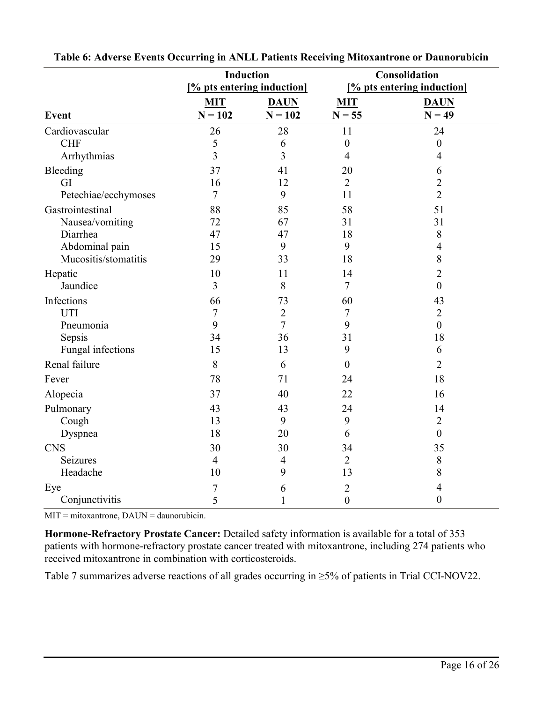|                      | <b>Induction</b>           |                |                  | Consolidation              |
|----------------------|----------------------------|----------------|------------------|----------------------------|
|                      | [% pts entering induction] |                |                  | [% pts entering induction] |
|                      | <b>MIT</b>                 | <b>DAUN</b>    | <b>MIT</b>       | <b>DAUN</b>                |
| Event                | $N = 102$                  | $N = 102$      | $N = 55$         | $N = 49$                   |
| Cardiovascular       | 26                         | 28             | 11               | 24                         |
| <b>CHF</b>           | 5                          | 6              | $\boldsymbol{0}$ | $\boldsymbol{0}$           |
| Arrhythmias          | $\overline{\mathbf{3}}$    | 3              | $\overline{4}$   | 4                          |
| Bleeding             | 37                         | 41             | 20               | 6                          |
| GI                   | 16                         | 12             | $\overline{2}$   | $\overline{2}$             |
| Petechiae/ecchymoses | $\overline{7}$             | 9              | 11               | $\overline{2}$             |
| Gastrointestinal     | 88                         | 85             | 58               | 51                         |
| Nausea/vomiting      | 72                         | 67             | 31               | 31                         |
| Diarrhea             | 47                         | 47             | 18               | $8\,$                      |
| Abdominal pain       | 15                         | 9              | 9                | $\overline{4}$             |
| Mucositis/stomatitis | 29                         | 33             | 18               | $\,8\,$                    |
| Hepatic              | 10                         | 11             | 14               | $\overline{2}$             |
| Jaundice             | $\overline{3}$             | 8              | 7                | $\boldsymbol{0}$           |
| Infections           | 66                         | 73             | 60               | 43                         |
| <b>UTI</b>           | $\overline{7}$             | $\overline{2}$ | 7                | $\overline{2}$             |
| Pneumonia            | 9                          | $\tau$         | 9                | $\boldsymbol{0}$           |
| Sepsis               | 34                         | 36             | 31               | 18                         |
| Fungal infections    | 15                         | 13             | 9                | 6                          |
| Renal failure        | 8                          | 6              | $\boldsymbol{0}$ | $\overline{2}$             |
| Fever                | 78                         | 71             | 24               | 18                         |
| Alopecia             | 37                         | 40             | 22               | 16                         |
| Pulmonary            | 43                         | 43             | 24               | 14                         |
| Cough                | 13                         | 9              | 9                | $\overline{2}$             |
| Dyspnea              | 18                         | 20             | 6                | $\boldsymbol{0}$           |
| <b>CNS</b>           | 30                         | 30             | 34               | 35                         |
| Seizures             | $\overline{4}$             | $\overline{4}$ | $\overline{2}$   | $8\,$                      |
| Headache             | 10                         | 9              | 13               | 8                          |
| Eye                  | 7                          | 6              | $\overline{2}$   | $\overline{4}$             |
| Conjunctivitis       | 5                          | 1              | $\boldsymbol{0}$ | $\boldsymbol{0}$           |

| Table 6: Adverse Events Occurring in ANLL Patients Receiving Mitoxantrone or Daunorubicin |  |  |
|-------------------------------------------------------------------------------------------|--|--|
|                                                                                           |  |  |

MIT = mitoxantrone, DAUN = daunorubicin.

**Hormone-Refractory Prostate Cancer:** Detailed safety information is available for a total of 353 patients with hormone-refractory prostate cancer treated with mitoxantrone, including 274 patients who received mitoxantrone in combination with corticosteroids.

Table 7 summarizes adverse reactions of all grades occurring in ≥5% of patients in Trial CCI-NOV22.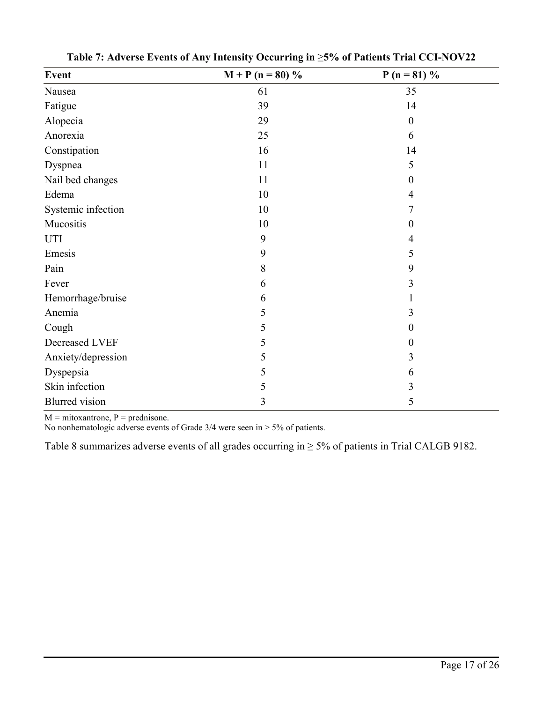| Event                 | $M + P (n = 80) %$ | $P(n = 81) %$    |  |
|-----------------------|--------------------|------------------|--|
| Nausea                | 61                 | 35               |  |
| Fatigue               | 39                 | 14               |  |
| Alopecia              | 29                 | $\boldsymbol{0}$ |  |
| Anorexia              | 25                 | 6                |  |
| Constipation          | 16                 | 14               |  |
| Dyspnea               | 11                 | 5                |  |
| Nail bed changes      | 11                 | 0                |  |
| Edema                 | 10                 | $\overline{4}$   |  |
| Systemic infection    | 10                 | 7                |  |
| Mucositis             | 10                 | 0                |  |
| UTI                   | 9                  | $\overline{4}$   |  |
| Emesis                | 9                  | 5                |  |
| Pain                  | 8                  | 9                |  |
| Fever                 | 6                  | 3                |  |
| Hemorrhage/bruise     | 6                  |                  |  |
| Anemia                | 5                  | 3                |  |
| Cough                 | 5                  | $\boldsymbol{0}$ |  |
| Decreased LVEF        | 5                  | 0                |  |
| Anxiety/depression    | 5                  | 3                |  |
| Dyspepsia             | 5                  | 6                |  |
| Skin infection        | 5                  | 3                |  |
| <b>Blurred</b> vision | 3                  | 5                |  |

**Table 7: Adverse Events of Any Intensity Occurring in** ≥**5% of Patients Trial CCI-NOV22**

 $M = mitoxantrone, P = prednisone.$ 

No nonhematologic adverse events of Grade 3/4 were seen in > 5% of patients.

Table 8 summarizes adverse events of all grades occurring in  $\geq$  5% of patients in Trial CALGB 9182.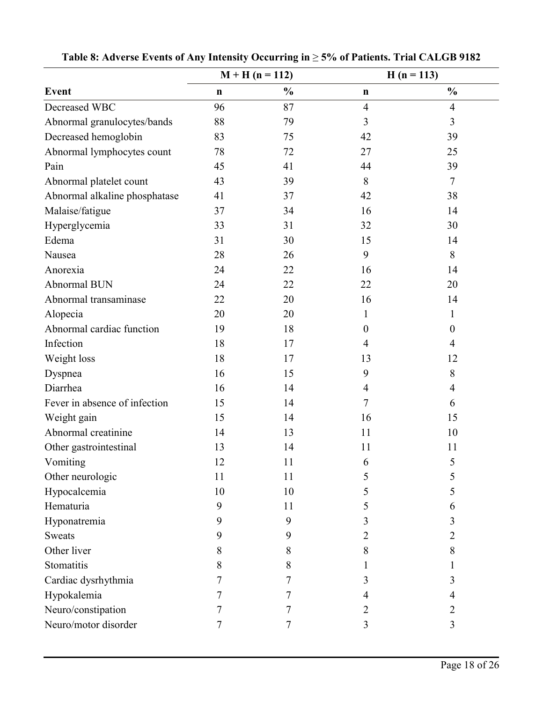|                               | $M + H (n = 112)$ |               |                | $H(n = 113)$     |
|-------------------------------|-------------------|---------------|----------------|------------------|
| <b>Event</b>                  | $\mathbf n$       | $\frac{0}{0}$ | $\mathbf n$    | $\frac{0}{0}$    |
| Decreased WBC                 | 96                | 87            | $\overline{4}$ | $\overline{4}$   |
| Abnormal granulocytes/bands   | 88                | 79            | 3              | $\overline{3}$   |
| Decreased hemoglobin          | 83                | 75            | 42             | 39               |
| Abnormal lymphocytes count    | 78                | 72            | 27             | 25               |
| Pain                          | 45                | 41            | 44             | 39               |
| Abnormal platelet count       | 43                | 39            | 8              | $\tau$           |
| Abnormal alkaline phosphatase | 41                | 37            | 42             | 38               |
| Malaise/fatigue               | 37                | 34            | 16             | 14               |
| Hyperglycemia                 | 33                | 31            | 32             | 30               |
| Edema                         | 31                | 30            | 15             | 14               |
| Nausea                        | 28                | 26            | 9              | 8                |
| Anorexia                      | 24                | 22            | 16             | 14               |
| Abnormal BUN                  | 24                | 22            | 22             | 20               |
| Abnormal transaminase         | 22                | 20            | 16             | 14               |
| Alopecia                      | 20                | 20            | 1              | 1                |
| Abnormal cardiac function     | 19                | 18            | $\overline{0}$ | $\boldsymbol{0}$ |
| Infection                     | 18                | 17            | $\overline{4}$ | $\overline{4}$   |
| Weight loss                   | 18                | 17            | 13             | 12               |
| Dyspnea                       | 16                | 15            | 9              | 8                |
| Diarrhea                      | 16                | 14            | $\overline{4}$ | $\overline{4}$   |
| Fever in absence of infection | 15                | 14            | 7              | 6                |
| Weight gain                   | 15                | 14            | 16             | 15               |
| Abnormal creatinine           | 14                | 13            | 11             | 10               |
| Other gastrointestinal        | 13                | 14            | 11             | 11               |
| Vomiting                      | 12                | 11            | 6              | 5                |
| Other neurologic              | 11                | 11            | 5              | 5                |
| Hypocalcemia                  | 10                | 10            | 5              | 5                |
| Hematuria                     | 9                 | 11            | 5              | 6                |
| Hyponatremia                  | 9                 | 9             | 3              | 3                |
| <b>Sweats</b>                 | 9                 | 9             | 2              | 2                |
| Other liver                   | 8                 | 8             | 8              | 8                |
| Stomatitis                    | 8                 | 8             |                |                  |
| Cardiac dysrhythmia           |                   |               | 3              | 3                |
| Hypokalemia                   |                   | 7             | 4              | 4                |
| Neuro/constipation            |                   | 7             | 2              | 2                |
| Neuro/motor disorder          | 7                 | 7             | 3              | 3                |

**Table 8: Adverse Events of Any Intensity Occurring in** ≥ **5% of Patients. Trial CALGB 9182**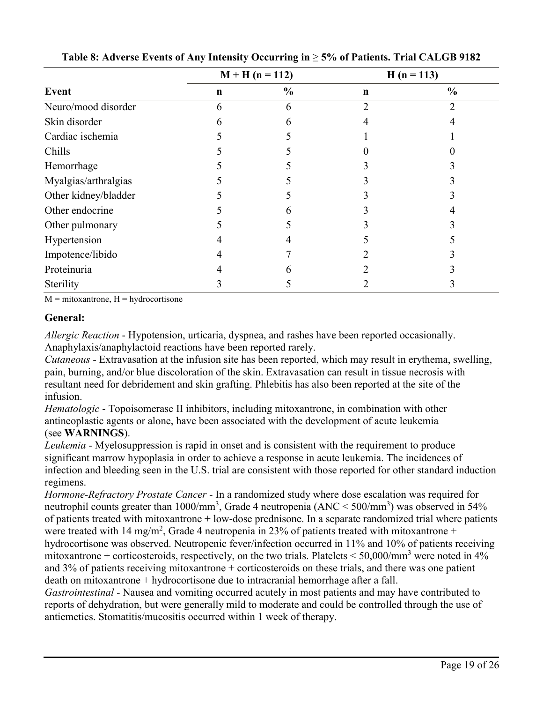|                      | $M + H (n = 112)$ |               | $H(n = 113)$ |               |
|----------------------|-------------------|---------------|--------------|---------------|
| Event                | $\mathbf n$       | $\frac{0}{0}$ | $\mathbf n$  | $\frac{0}{0}$ |
| Neuro/mood disorder  | h                 | 6             | ာ            |               |
| Skin disorder        |                   |               |              |               |
| Cardiac ischemia     |                   |               |              |               |
| Chills               |                   |               |              |               |
| Hemorrhage           |                   |               |              |               |
| Myalgias/arthralgias |                   |               |              |               |
| Other kidney/bladder |                   |               |              |               |
| Other endocrine      |                   |               |              |               |
| Other pulmonary      |                   |               |              |               |
| Hypertension         |                   |               |              |               |
| Impotence/libido     |                   |               |              |               |
| Proteinuria          |                   |               |              |               |
| Sterility            |                   |               |              |               |

**Table 8: Adverse Events of Any Intensity Occurring in** ≥ **5% of Patients. Trial CALGB 9182**

 $M = mitoxantrone, H = hydrocortisone$ 

#### **General:**

*Allergic Reaction* - Hypotension, urticaria, dyspnea, and rashes have been reported occasionally. Anaphylaxis/anaphylactoid reactions have been reported rarely.

*Cutaneous* - Extravasation at the infusion site has been reported, which may result in erythema, swelling, pain, burning, and/or blue discoloration of the skin. Extravasation can result in tissue necrosis with resultant need for debridement and skin grafting. Phlebitis has also been reported at the site of the infusion.

*Hematologic* - Topoisomerase II inhibitors, including mitoxantrone, in combination with other antineoplastic agents or alone, have been associated with the development of acute leukemia (see **WARNINGS**).

*Leukemia* - Myelosuppression is rapid in onset and is consistent with the requirement to produce significant marrow hypoplasia in order to achieve a response in acute leukemia. The incidences of infection and bleeding seen in the U.S. trial are consistent with those reported for other standard induction regimens.

*Hormone-Refractory Prostate Cancer* - In a randomized study where dose escalation was required for neutrophil counts greater than  $1000/\text{mm}^3$ , Grade 4 neutropenia (ANC < 500/mm<sup>3</sup>) was observed in 54% of patients treated with mitoxantrone + low-dose prednisone. In a separate randomized trial where patients were treated with 14 mg/m<sup>2</sup>, Grade 4 neutropenia in 23% of patients treated with mitoxantrone + hydrocortisone was observed. Neutropenic fever/infection occurred in 11% and 10% of patients receiving

mitoxantrone + corticosteroids, respectively, on the two trials. Platelets  $\leq 50,000/\text{mm}^3$  were noted in 4% and  $3\%$  of patients receiving mitoxantrone + corticosteroids on these trials, and there was one patient death on mitoxantrone + hydrocortisone due to intracranial hemorrhage after a fall.

*Gastrointestinal* - Nausea and vomiting occurred acutely in most patients and may have contributed to reports of dehydration, but were generally mild to moderate and could be controlled through the use of antiemetics. Stomatitis/mucositis occurred within 1 week of therapy.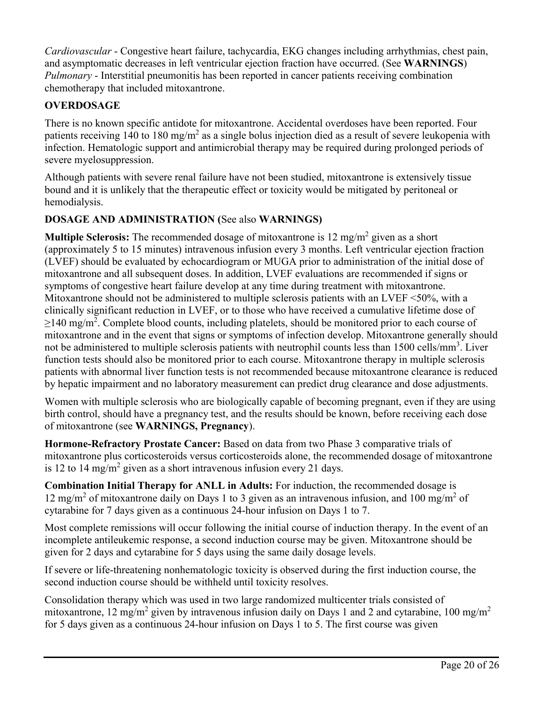*Cardiovascular* - Congestive heart failure, tachycardia, EKG changes including arrhythmias, chest pain, and asymptomatic decreases in left ventricular ejection fraction have occurred. (See **WARNINGS**) *Pulmonary* - Interstitial pneumonitis has been reported in cancer patients receiving combination chemotherapy that included mitoxantrone.

# **OVERDOSAGE**

There is no known specific antidote for mitoxantrone. Accidental overdoses have been reported. Four patients receiving 140 to 180 mg/m<sup>2</sup> as a single bolus injection died as a result of severe leukopenia with infection. Hematologic support and antimicrobial therapy may be required during prolonged periods of severe myelosuppression.

Although patients with severe renal failure have not been studied, mitoxantrone is extensively tissue bound and it is unlikely that the therapeutic effect or toxicity would be mitigated by peritoneal or hemodialysis.

## **DOSAGE AND ADMINISTRATION (**See also **WARNINGS)**

**Multiple Sclerosis:** The recommended dosage of mitoxantrone is 12 mg/m<sup>2</sup> given as a short (approximately 5 to 15 minutes) intravenous infusion every 3 months. Left ventricular ejection fraction (LVEF) should be evaluated by echocardiogram or MUGA prior to administration of the initial dose of mitoxantrone and all subsequent doses. In addition, LVEF evaluations are recommended if signs or symptoms of congestive heart failure develop at any time during treatment with mitoxantrone. Mitoxantrone should not be administered to multiple sclerosis patients with an LVEF <50%, with a clinically significant reduction in LVEF, or to those who have received a cumulative lifetime dose of  $\geq$ 140 mg/m<sup>2</sup>. Complete blood counts, including platelets, should be monitored prior to each course of mitoxantrone and in the event that signs or symptoms of infection develop. Mitoxantrone generally should not be administered to multiple sclerosis patients with neutrophil counts less than 1500 cells/mm<sup>3</sup>. Liver function tests should also be monitored prior to each course. Mitoxantrone therapy in multiple sclerosis patients with abnormal liver function tests is not recommended because mitoxantrone clearance is reduced by hepatic impairment and no laboratory measurement can predict drug clearance and dose adjustments.

Women with multiple sclerosis who are biologically capable of becoming pregnant, even if they are using birth control, should have a pregnancy test, and the results should be known, before receiving each dose of mitoxantrone (see **WARNINGS, Pregnancy**).

**Hormone-Refractory Prostate Cancer:** Based on data from two Phase 3 comparative trials of mitoxantrone plus corticosteroids versus corticosteroids alone, the recommended dosage of mitoxantrone is 12 to 14 mg/m<sup>2</sup> given as a short intravenous infusion every 21 days.

**Combination Initial Therapy for ANLL in Adults:** For induction, the recommended dosage is 12 mg/m<sup>2</sup> of mitoxantrone daily on Days 1 to 3 given as an intravenous infusion, and 100 mg/m<sup>2</sup> of cytarabine for 7 days given as a continuous 24-hour infusion on Days 1 to 7.

Most complete remissions will occur following the initial course of induction therapy. In the event of an incomplete antileukemic response, a second induction course may be given. Mitoxantrone should be given for 2 days and cytarabine for 5 days using the same daily dosage levels.

If severe or life-threatening nonhematologic toxicity is observed during the first induction course, the second induction course should be withheld until toxicity resolves.

Consolidation therapy which was used in two large randomized multicenter trials consisted of mitoxantrone, 12 mg/m<sup>2</sup> given by intravenous infusion daily on Days 1 and 2 and cytarabine, 100 mg/m<sup>2</sup> for 5 days given as a continuous 24-hour infusion on Days 1 to 5. The first course was given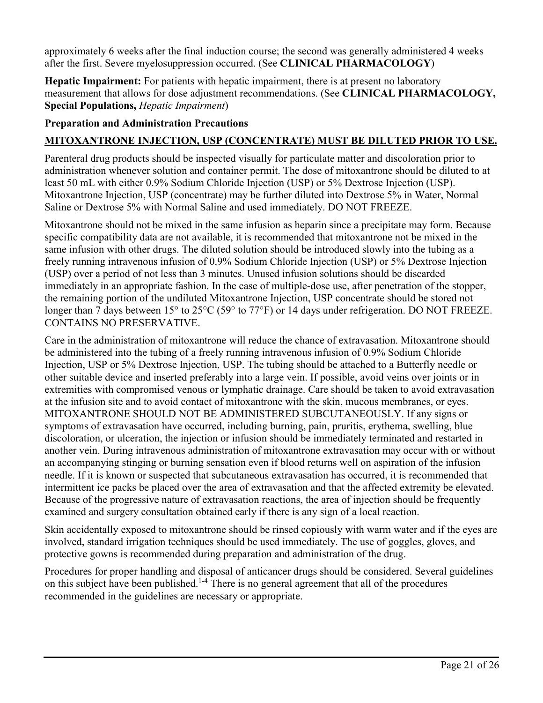approximately 6 weeks after the final induction course; the second was generally administered 4 weeks after the first. Severe myelosuppression occurred. (See **CLINICAL PHARMACOLOGY**)

**Hepatic Impairment:** For patients with hepatic impairment, there is at present no laboratory measurement that allows for dose adjustment recommendations. (See **CLINICAL PHARMACOLOGY, Special Populations,** *Hepatic Impairment*)

### **Preparation and Administration Precautions**

## **MITOXANTRONE INJECTION, USP (CONCENTRATE) MUST BE DILUTED PRIOR TO USE.**

Parenteral drug products should be inspected visually for particulate matter and discoloration prior to administration whenever solution and container permit. The dose of mitoxantrone should be diluted to at least 50 mL with either 0.9% Sodium Chloride Injection (USP) or 5% Dextrose Injection (USP). Mitoxantrone Injection, USP (concentrate) may be further diluted into Dextrose 5% in Water, Normal Saline or Dextrose 5% with Normal Saline and used immediately. DO NOT FREEZE.

Mitoxantrone should not be mixed in the same infusion as heparin since a precipitate may form. Because specific compatibility data are not available, it is recommended that mitoxantrone not be mixed in the same infusion with other drugs. The diluted solution should be introduced slowly into the tubing as a freely running intravenous infusion of 0.9% Sodium Chloride Injection (USP) or 5% Dextrose Injection (USP) over a period of not less than 3 minutes. Unused infusion solutions should be discarded immediately in an appropriate fashion. In the case of multiple-dose use, after penetration of the stopper, the remaining portion of the undiluted Mitoxantrone Injection, USP concentrate should be stored not longer than 7 days between 15° to 25°C (59° to 77°F) or 14 days under refrigeration. DO NOT FREEZE. CONTAINS NO PRESERVATIVE.

Care in the administration of mitoxantrone will reduce the chance of extravasation. Mitoxantrone should be administered into the tubing of a freely running intravenous infusion of 0.9% Sodium Chloride Injection, USP or 5% Dextrose Injection, USP. The tubing should be attached to a Butterfly needle or other suitable device and inserted preferably into a large vein. If possible, avoid veins over joints or in extremities with compromised venous or lymphatic drainage. Care should be taken to avoid extravasation at the infusion site and to avoid contact of mitoxantrone with the skin, mucous membranes, or eyes. MITOXANTRONE SHOULD NOT BE ADMINISTERED SUBCUTANEOUSLY. If any signs or symptoms of extravasation have occurred, including burning, pain, pruritis, erythema, swelling, blue discoloration, or ulceration, the injection or infusion should be immediately terminated and restarted in another vein. During intravenous administration of mitoxantrone extravasation may occur with or without an accompanying stinging or burning sensation even if blood returns well on aspiration of the infusion needle. If it is known or suspected that subcutaneous extravasation has occurred, it is recommended that intermittent ice packs be placed over the area of extravasation and that the affected extremity be elevated. Because of the progressive nature of extravasation reactions, the area of injection should be frequently examined and surgery consultation obtained early if there is any sign of a local reaction.

Skin accidentally exposed to mitoxantrone should be rinsed copiously with warm water and if the eyes are involved, standard irrigation techniques should be used immediately. The use of goggles, gloves, and protective gowns is recommended during preparation and administration of the drug.

Procedures for proper handling and disposal of anticancer drugs should be considered. Several guidelines on this subject have been published.<sup>1-4</sup> There is no general agreement that all of the procedures recommended in the guidelines are necessary or appropriate.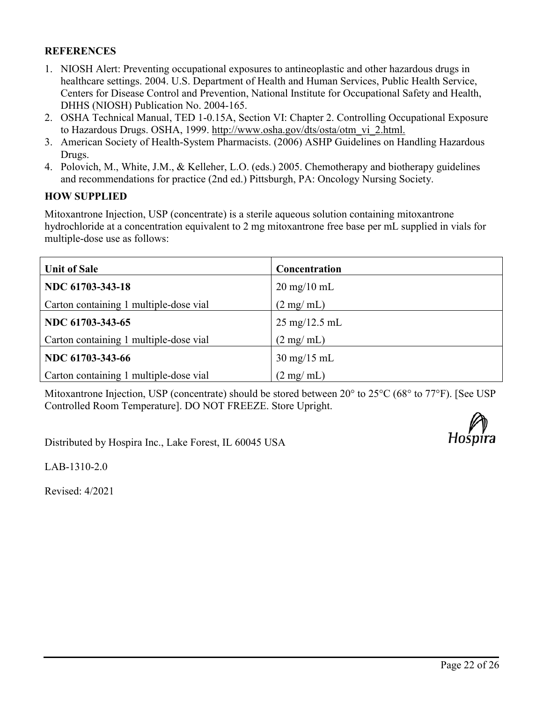### **REFERENCES**

- 1. NIOSH Alert: Preventing occupational exposures to antineoplastic and other hazardous drugs in healthcare settings. 2004. U.S. Department of Health and Human Services, Public Health Service, Centers for Disease Control and Prevention, National Institute for Occupational Safety and Health, DHHS (NIOSH) Publication No. 2004-165.
- 2. OSHA Technical Manual, TED 1-0.15A, Section VI: Chapter 2. Controlling Occupational Exposure to Hazardous Drugs. OSHA, 1999. http://www.osha.gov/dts/osta/otm\_vi\_2.html.
- 3. American Society of Health-System Pharmacists. (2006) ASHP Guidelines on Handling Hazardous Drugs.
- 4. Polovich, M., White, J.M., & Kelleher, L.O. (eds.) 2005. Chemotherapy and biotherapy guidelines and recommendations for practice (2nd ed.) Pittsburgh, PA: Oncology Nursing Society.

#### **HOW SUPPLIED**

Mitoxantrone Injection, USP (concentrate) is a sterile aqueous solution containing mitoxantrone hydrochloride at a concentration equivalent to 2 mg mitoxantrone free base per mL supplied in vials for multiple-dose use as follows:

| <b>Unit of Sale</b>                    | Concentration                   |  |
|----------------------------------------|---------------------------------|--|
| NDC 61703-343-18                       | $20 \text{ mg}/10 \text{ mL}$   |  |
| Carton containing 1 multiple-dose vial | $(2 \text{ mg/ml})$             |  |
| NDC 61703-343-65                       | $25 \text{ mg}/12.5 \text{ mL}$ |  |
| Carton containing 1 multiple-dose vial | $(2 \text{ mg/mL})$             |  |
| NDC 61703-343-66                       | $30 \text{ mg}/15 \text{ mL}$   |  |
| Carton containing 1 multiple-dose vial | $(2 \text{ mg/ml})$             |  |

Mitoxantrone Injection, USP (concentrate) should be stored between 20° to 25°C (68° to 77°F). [See USP Controlled Room Temperature]. DO NOT FREEZE. Store Upright.

Distributed by Hospira Inc., Lake Forest, IL 60045 USA



LAB-1310-2.0

Revised: 4/2021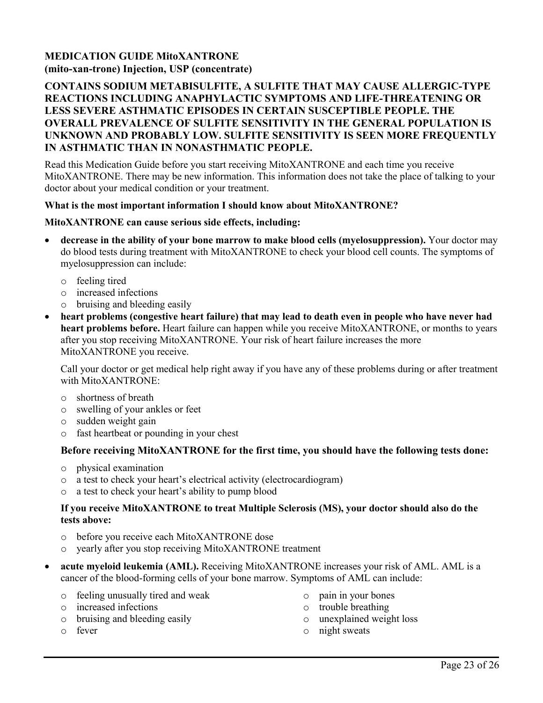### **MEDICATION GUIDE MitoXANTRONE (mito-xan-trone) Injection, USP (concentrate)**

#### **CONTAINS SODIUM METABISULFITE, A SULFITE THAT MAY CAUSE ALLERGIC-TYPE REACTIONS INCLUDING ANAPHYLACTIC SYMPTOMS AND LIFE-THREATENING OR LESS SEVERE ASTHMATIC EPISODES IN CERTAIN SUSCEPTIBLE PEOPLE. THE OVERALL PREVALENCE OF SULFITE SENSITIVITY IN THE GENERAL POPULATION IS UNKNOWN AND PROBABLY LOW. SULFITE SENSITIVITY IS SEEN MORE FREQUENTLY IN ASTHMATIC THAN IN NONASTHMATIC PEOPLE.**

Read this Medication Guide before you start receiving MitoXANTRONE and each time you receive MitoXANTRONE. There may be new information. This information does not take the place of talking to your doctor about your medical condition or your treatment.

#### **What is the most important information I should know about MitoXANTRONE?**

#### **MitoXANTRONE can cause serious side effects, including:**

- **decrease in the ability of your bone marrow to make blood cells (myelosuppression).** Your doctor may do blood tests during treatment with MitoXANTRONE to check your blood cell counts. The symptoms of myelosuppression can include:
	- o feeling tired
	- o increased infections
	- o bruising and bleeding easily
- **heart problems (congestive heart failure) that may lead to death even in people who have never had heart problems before.** Heart failure can happen while you receive MitoXANTRONE, or months to years after you stop receiving MitoXANTRONE. Your risk of heart failure increases the more MitoXANTRONE you receive.

Call your doctor or get medical help right away if you have any of these problems during or after treatment with MitoXANTRONE:

- o shortness of breath
- o swelling of your ankles or feet
- o sudden weight gain
- o fast heartbeat or pounding in your chest

#### **Before receiving MitoXANTRONE for the first time, you should have the following tests done:**

- o physical examination
- o a test to check your heart's electrical activity (electrocardiogram)
- a test to check your heart's ability to pump blood

#### **If you receive MitoXANTRONE to treat Multiple Sclerosis (MS), your doctor should also do the tests above:**

- o before you receive each MitoXANTRONE dose
- o yearly after you stop receiving MitoXANTRONE treatment
- **acute myeloid leukemia (AML).** Receiving MitoXANTRONE increases your risk of AML. AML is a cancer of the blood-forming cells of your bone marrow. Symptoms of AML can include:
	- o feeling unusually tired and weak
	- o increased infections

o fever

o bruising and bleeding easily

- o pain in your bones
- o trouble breathing
- o unexplained weight loss
- o night sweats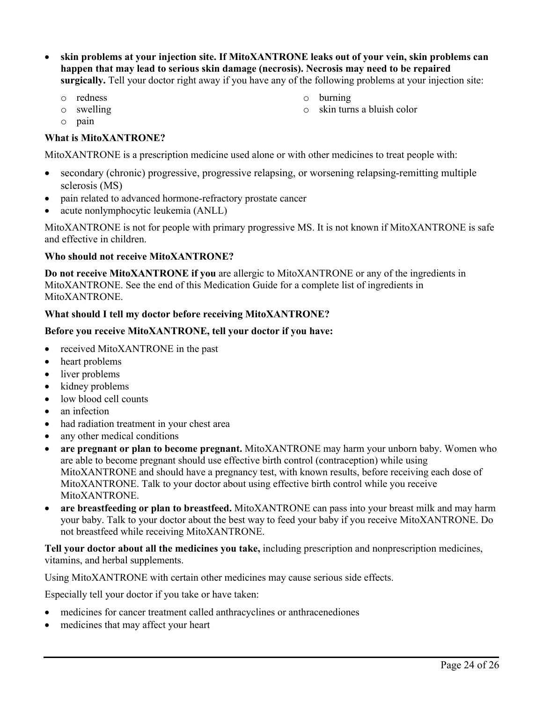- **skin problems at your injection site. If MitoXANTRONE leaks out of your vein, skin problems can happen that may lead to serious skin damage (necrosis). Necrosis may need to be repaired surgically.** Tell your doctor right away if you have any of the following problems at your injection site:
	- o redness
	- o swelling
	- o pain

#### **What is MitoXANTRONE?**

MitoXANTRONE is a prescription medicine used alone or with other medicines to treat people with:

- secondary (chronic) progressive, progressive relapsing, or worsening relapsing-remitting multiple sclerosis (MS)
- pain related to advanced hormone-refractory prostate cancer
- acute nonlymphocytic leukemia (ANLL)

MitoXANTRONE is not for people with primary progressive MS. It is not known if MitoXANTRONE is safe and effective in children.

#### **Who should not receive MitoXANTRONE?**

**Do not receive MitoXANTRONE if you** are allergic to MitoXANTRONE or any of the ingredients in MitoXANTRONE. See the end of this Medication Guide for a complete list of ingredients in MitoXANTRONE.

#### **What should I tell my doctor before receiving MitoXANTRONE?**

#### **Before you receive MitoXANTRONE, tell your doctor if you have:**

- received MitoXANTRONE in the past
- heart problems
- liver problems
- kidney problems
- low blood cell counts
- an infection
- had radiation treatment in your chest area
- any other medical conditions
- **are pregnant or plan to become pregnant.** MitoXANTRONE may harm your unborn baby. Women who are able to become pregnant should use effective birth control (contraception) while using MitoXANTRONE and should have a pregnancy test, with known results, before receiving each dose of MitoXANTRONE. Talk to your doctor about using effective birth control while you receive MitoXANTRONE.
- **are breastfeeding or plan to breastfeed.** MitoXANTRONE can pass into your breast milk and may harm your baby. Talk to your doctor about the best way to feed your baby if you receive MitoXANTRONE. Do not breastfeed while receiving MitoXANTRONE.

**Tell your doctor about all the medicines you take,** including prescription and nonprescription medicines, vitamins, and herbal supplements.

Using MitoXANTRONE with certain other medicines may cause serious side effects.

Especially tell your doctor if you take or have taken:

- medicines for cancer treatment called anthracyclines or anthracenediones
- medicines that may affect your heart
- o burning
- o skin turns a bluish color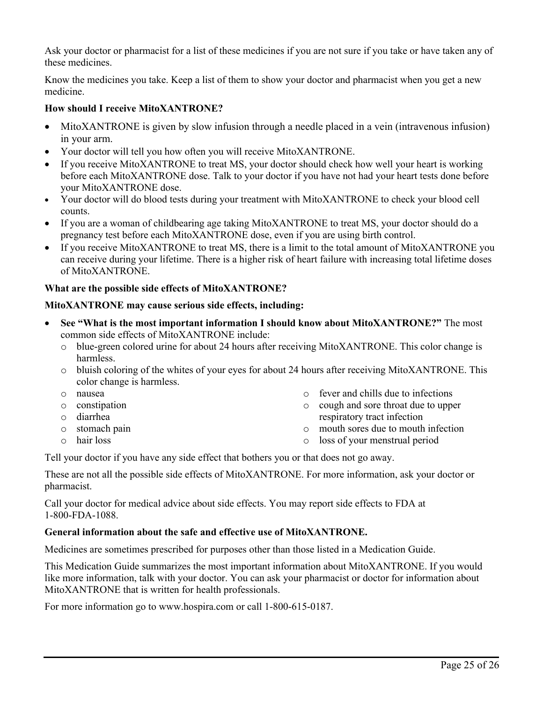Ask your doctor or pharmacist for a list of these medicines if you are not sure if you take or have taken any of these medicines.

Know the medicines you take. Keep a list of them to show your doctor and pharmacist when you get a new medicine.

#### **How should I receive MitoXANTRONE?**

- MitoXANTRONE is given by slow infusion through a needle placed in a vein (intravenous infusion) in your arm.
- Your doctor will tell you how often you will receive MitoXANTRONE.
- If you receive MitoXANTRONE to treat MS, your doctor should check how well your heart is working before each MitoXANTRONE dose. Talk to your doctor if you have not had your heart tests done before your MitoXANTRONE dose.
- Your doctor will do blood tests during your treatment with MitoXANTRONE to check your blood cell counts.
- If you are a woman of childbearing age taking MitoXANTRONE to treat MS, your doctor should do a pregnancy test before each MitoXANTRONE dose, even if you are using birth control.
- If you receive MitoXANTRONE to treat MS, there is a limit to the total amount of MitoXANTRONE you can receive during your lifetime. There is a higher risk of heart failure with increasing total lifetime doses of MitoXANTRONE.

#### **What are the possible side effects of MitoXANTRONE?**

#### **MitoXANTRONE may cause serious side effects, including:**

- **See "What is the most important information I should know about MitoXANTRONE?"** The most common side effects of MitoXANTRONE include:
	- o blue-green colored urine for about 24 hours after receiving MitoXANTRONE. This color change is harmless.
	- o bluish coloring of the whites of your eyes for about 24 hours after receiving MitoXANTRONE. This color change is harmless.
	- o nausea
	- o constipation
	- o diarrhea
	- o stomach pain
	- o hair loss
- o fever and chills due to infections
- o cough and sore throat due to upper respiratory tract infection
- o mouth sores due to mouth infection
- o loss of your menstrual period

Tell your doctor if you have any side effect that bothers you or that does not go away.

These are not all the possible side effects of MitoXANTRONE. For more information, ask your doctor or pharmacist.

Call your doctor for medical advice about side effects. You may report side effects to FDA at 1-800-FDA-1088.

#### **General information about the safe and effective use of MitoXANTRONE.**

Medicines are sometimes prescribed for purposes other than those listed in a Medication Guide.

This Medication Guide summarizes the most important information about MitoXANTRONE. If you would like more information, talk with your doctor. You can ask your pharmacist or doctor for information about MitoXANTRONE that is written for health professionals.

For more information go to www.hospira.com or call 1-800-615-0187.